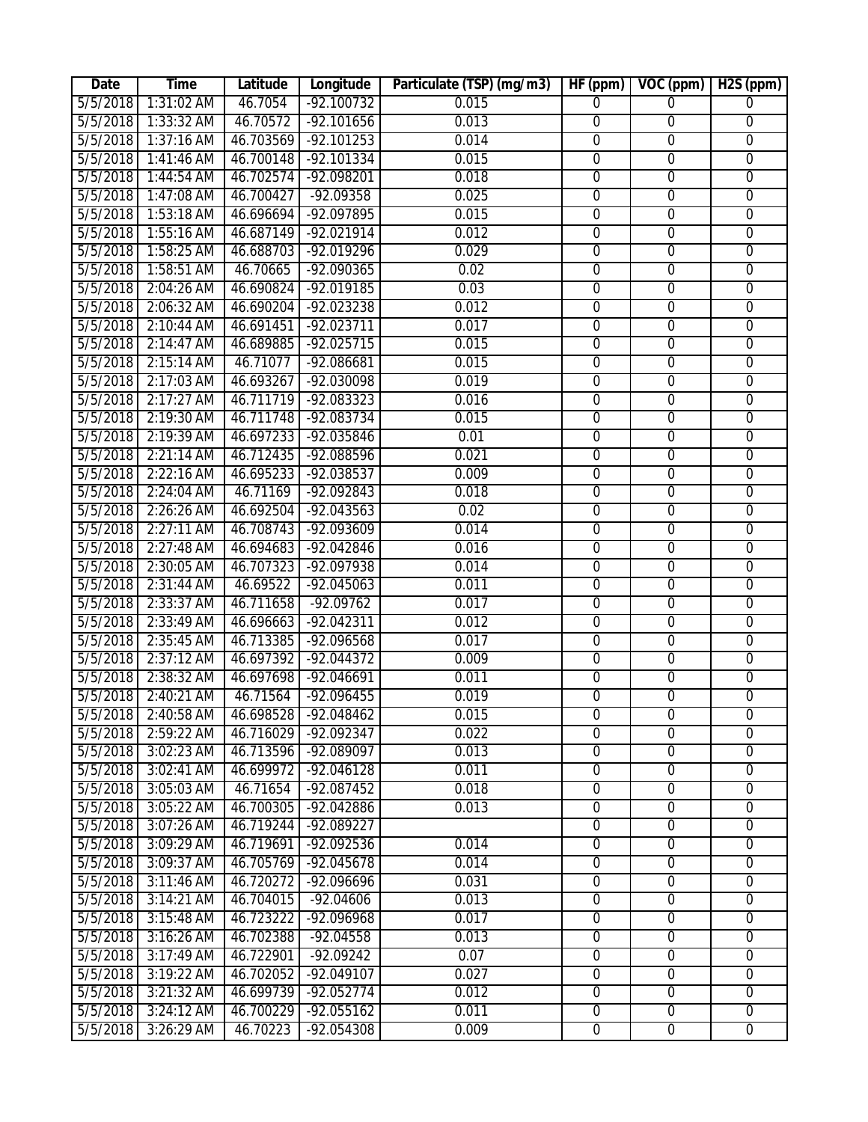| Date     | <b>Time</b>          | Latitude  | Longitude            | Particulate (TSP) (mg/m3) | HF (ppm)         | VOC (ppm)        | H <sub>2S</sub> (ppm) |
|----------|----------------------|-----------|----------------------|---------------------------|------------------|------------------|-----------------------|
| 5/5/2018 | 1:31:02 AM           | 46.7054   | $-92.100732$         | 0.015                     | $\Omega$         | $\Omega$         | $\Omega$              |
| 5/5/2018 | $1:33:32$ AM         | 46.70572  | $-92.101656$         | 0.013                     | $\overline{0}$   | $\overline{0}$   | $\overline{0}$        |
| 5/5/2018 | $1:37:16$ AM         |           | 46.703569 -92.101253 | 0.014                     | $\overline{0}$   | $\overline{0}$   | $\overline{0}$        |
| 5/5/2018 | 1:41:46 AM           | 46.700148 | $-92.101334$         | 0.015                     | $\overline{0}$   | $\overline{0}$   | $\overline{0}$        |
| 5/5/2018 | 1:44:54 AM           | 46.702574 | $-92.098201$         | 0.018                     | $\overline{0}$   | $\overline{0}$   | $\overline{0}$        |
| 5/5/2018 | 1:47:08 AM           | 46.700427 | $-92.09358$          | 0.025                     | $\overline{0}$   | $\overline{0}$   | $\overline{0}$        |
| 5/5/2018 | $1:53:18$ AM         | 46.696694 | -92.097895           | 0.015                     | $\overline{0}$   | $\overline{0}$   | $\overline{0}$        |
| 5/5/2018 | 1:55:16 AM           | 46.687149 | $-92.021914$         | 0.012                     | $\overline{0}$   | $\overline{0}$   | $\overline{0}$        |
| 5/5/2018 | $1:58:25$ AM         | 46.688703 | -92.019296           | 0.029                     | $\overline{0}$   | $\overline{0}$   | $\overline{0}$        |
| 5/5/2018 | 1:58:51 AM           | 46.70665  | $-92.090365$         | 0.02                      | $\overline{0}$   | $\overline{0}$   | $\overline{0}$        |
| 5/5/2018 | 2:04:26 AM           | 46.690824 | $-92.019185$         | 0.03                      | $\overline{0}$   | $\overline{0}$   | $\overline{0}$        |
| 5/5/2018 | 2:06:32 AM           | 46.690204 | $-92.023238$         | 0.012                     | $\overline{0}$   | $\overline{0}$   | $\overline{0}$        |
| 5/5/2018 | 2:10:44 AM           | 46.691451 | $-92.023711$         | 0.017                     | $\overline{0}$   | $\overline{0}$   | $\overline{0}$        |
| 5/5/2018 | 2:14:47 AM           | 46.689885 | $-92.025715$         | 0.015                     | $\overline{0}$   | $\overline{0}$   | $\overline{0}$        |
| 5/5/2018 | $2:15:14$ AM         | 46.71077  | $-92.086681$         | 0.015                     | $\overline{0}$   | $\overline{0}$   | $\overline{0}$        |
| 5/5/2018 | 2:17:03 AM           | 46.693267 | $-92.030098$         | 0.019                     | $\overline{0}$   | $\overline{0}$   | $\overline{0}$        |
| 5/5/2018 | 2:17:27 AM           | 46.711719 | $-92.083323$         | 0.016                     | $\overline{0}$   | $\overline{0}$   | $\overline{0}$        |
| 5/5/2018 | 2:19:30 AM           | 46.711748 | $-92.083734$         | 0.015                     | $\overline{0}$   | $\overline{0}$   | $\overline{0}$        |
| 5/5/2018 | 2:19:39 AM           | 46.697233 | $-92.035846$         | 0.01                      | $\overline{0}$   | $\overline{0}$   | $\overline{0}$        |
| 5/5/2018 | $2:21:14$ AM         | 46.712435 | -92.088596           | 0.021                     | $\overline{0}$   | $\overline{0}$   | $\overline{0}$        |
| 5/5/2018 | 2:22:16 AM           | 46.695233 | $-92.038537$         | 0.009                     | $\overline{0}$   | $\overline{0}$   | $\overline{0}$        |
| 5/5/2018 | 2:24:04 AM           | 46.71169  | $-92.092843$         | 0.018                     | $\overline{0}$   | $\overline{0}$   | $\overline{0}$        |
| 5/5/2018 | 2:26:26 AM           | 46.692504 | $-92.043563$         | 0.02                      | $\boldsymbol{0}$ | $\boldsymbol{0}$ | $\boldsymbol{0}$      |
| 5/5/2018 | $2:27:11$ AM         | 46.708743 | $-92.093609$         | 0.014                     | $\overline{0}$   | $\overline{0}$   | $\overline{0}$        |
| 5/5/2018 | 2:27:48 AM           | 46.694683 | $-92.042846$         | 0.016                     | $\overline{0}$   | $\overline{0}$   | $\overline{0}$        |
| 5/5/2018 | 2:30:05 AM           | 46.707323 | -92.097938           | 0.014                     | $\overline{0}$   | $\overline{0}$   | $\overline{0}$        |
| 5/5/2018 | 2:31:44 AM           | 46.69522  | $-92.045063$         | 0.011                     | $\overline{0}$   | $\overline{0}$   | $\overline{0}$        |
| 5/5/2018 | 2:33:37 AM           | 46.711658 | $-92.09762$          | 0.017                     | $\overline{0}$   | $\overline{0}$   | $\overline{0}$        |
| 5/5/2018 | 2:33:49 AM           | 46.696663 | $-92.042311$         | 0.012                     | $\overline{0}$   | $\overline{0}$   | $\overline{0}$        |
| 5/5/2018 | 2:35:45 AM           | 46.713385 | -92.096568           | 0.017                     | $\overline{0}$   | $\overline{0}$   | $\overline{0}$        |
| 5/5/2018 | $2:37:12$ AM         | 46.697392 | $-92.044372$         | 0.009                     | $\overline{0}$   | $\overline{0}$   | $\overline{0}$        |
| 5/5/2018 | 2:38:32 AM           | 46.697698 | $-92.046691$         | 0.011                     | $\overline{0}$   | $\overline{0}$   | $\overline{0}$        |
| 5/5/2018 | 2:40:21 AM           | 46.71564  | $-92.096455$         | 0.019                     | $\overline{0}$   | $\overline{0}$   | $\overline{0}$        |
| 5/5/2018 | $2:40:58 \text{ AM}$ | 46.698528 | -92.048462           | 0.015                     | 0                | 0                | 0                     |
| 5/5/2018 | 2:59:22 AM           | 46.716029 | $-92.092347$         | 0.022                     | $\overline{0}$   | $\overline{0}$   | $\overline{0}$        |
| 5/5/2018 | 3:02:23 AM           | 46.713596 | $-92.089097$         | 0.013                     | $\overline{0}$   | $\overline{0}$   | $\overline{0}$        |
| 5/5/2018 | 3:02:41 AM           | 46.699972 | $-92.046128$         | 0.011                     | $\overline{0}$   | $\overline{0}$   | $\overline{0}$        |
| 5/5/2018 | 3:05:03 AM           | 46.71654  | $-92.087452$         | 0.018                     | $\overline{0}$   | $\overline{0}$   | $\overline{0}$        |
| 5/5/2018 | 3:05:22 AM           | 46.700305 | $-92.042886$         | 0.013                     | $\overline{0}$   | $\overline{0}$   | $\overline{0}$        |
| 5/5/2018 | 3:07:26 AM           | 46.719244 | $-92.089227$         |                           | $\overline{0}$   | $\overline{0}$   | $\overline{0}$        |
| 5/5/2018 | 3:09:29 AM           | 46.719691 | $-92.092536$         | 0.014                     | $\overline{0}$   | $\overline{0}$   | $\overline{0}$        |
| 5/5/2018 | 3:09:37 AM           | 46.705769 | -92.045678           | 0.014                     | $\overline{0}$   | $\mathbf 0$      | $\mathbf 0$           |
| 5/5/2018 | 3:11:46 AM           | 46.720272 | -92.096696           | 0.031                     | $\boldsymbol{0}$ | $\boldsymbol{0}$ | $\mathbf 0$           |
| 5/5/2018 | $3:14:21$ AM         | 46.704015 | $-92.04606$          | 0.013                     | $\overline{0}$   | $\overline{0}$   | $\overline{0}$        |
| 5/5/2018 | 3:15:48 AM           | 46.723222 | $-92.096968$         | 0.017                     | $\overline{0}$   | $\overline{0}$   | 0                     |
| 5/5/2018 | 3:16:26 AM           | 46.702388 | $-92.04558$          | 0.013                     | $\overline{0}$   | $\overline{0}$   | $\overline{0}$        |
| 5/5/2018 | $3:17:49$ AM         | 46.722901 | $-92.09242$          | 0.07                      | $\overline{0}$   | $\overline{0}$   | $\overline{0}$        |
| 5/5/2018 | 3:19:22 AM           | 46.702052 | $-92.049107$         | 0.027                     | $\overline{0}$   | $\overline{0}$   | $\overline{0}$        |
| 5/5/2018 | 3:21:32 AM           | 46.699739 | $-92.052774$         | 0.012                     | $\overline{0}$   | $\overline{0}$   | $\overline{0}$        |
| 5/5/2018 | 3:24:12 AM           | 46.700229 | $-92.055162$         | 0.011                     | $\overline{0}$   | $\overline{0}$   | 0                     |
| 5/5/2018 | 3:26:29 AM           | 46.70223  | $-92.054308$         | 0.009                     | $\overline{0}$   | $\overline{0}$   | $\overline{0}$        |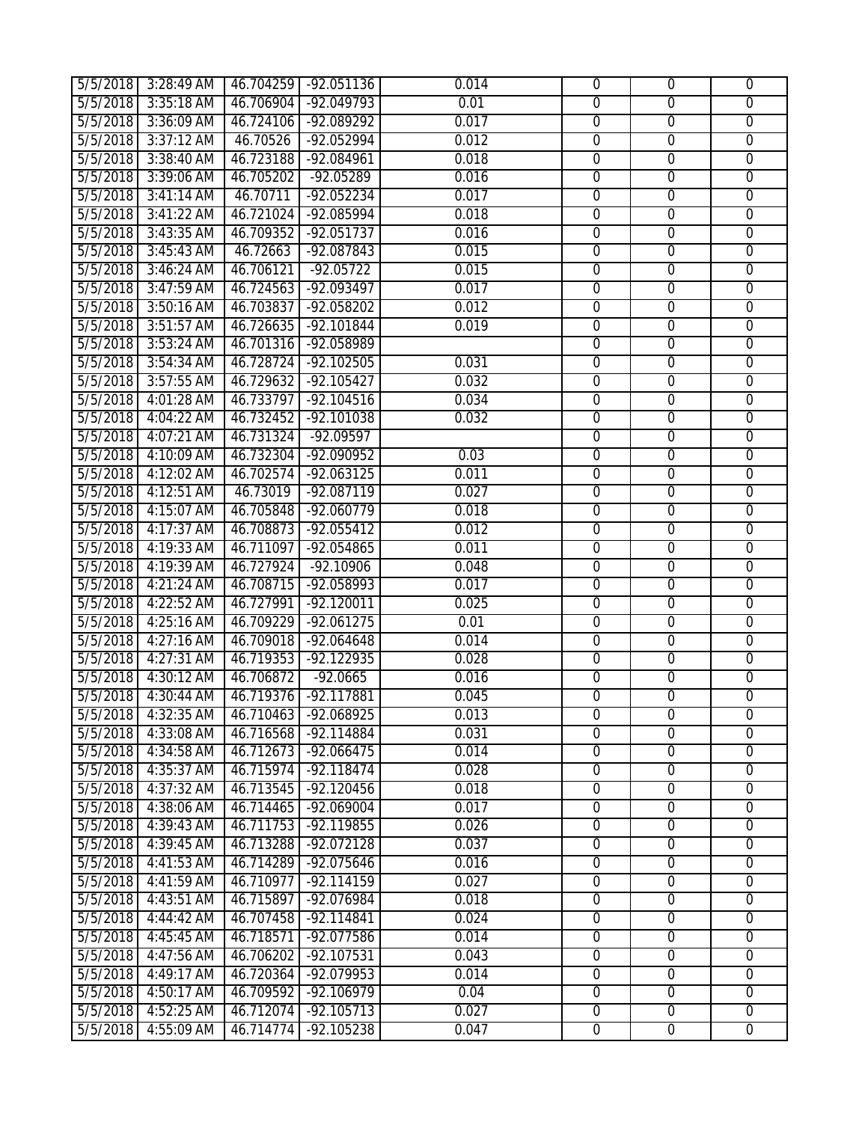| 5/5/2018 | 3:28:49 AM   |           | 46.704259 -92.051136 | 0.014 | $\mathbf 0$      | $\mathbf 0$      | $\overline{0}$ |
|----------|--------------|-----------|----------------------|-------|------------------|------------------|----------------|
| 5/5/2018 | 3:35:18 AM   | 46.706904 | $-92.049793$         | 0.01  | $\overline{0}$   | $\overline{0}$   | $\overline{0}$ |
| 5/5/2018 | 3:36:09 AM   | 46.724106 | -92.089292           | 0.017 | $\overline{0}$   | $\overline{0}$   | $\overline{0}$ |
| 5/5/2018 | 3:37:12 AM   | 46.70526  | $-92.052994$         | 0.012 | $\overline{0}$   | $\overline{0}$   | $\overline{0}$ |
| 5/5/2018 | 3:38:40 AM   | 46.723188 | -92.084961           | 0.018 | $\boldsymbol{0}$ | $\overline{0}$   | $\overline{0}$ |
| 5/5/2018 | 3:39:06 AM   | 46.705202 | $-92.05289$          | 0.016 | $\overline{0}$   | $\overline{0}$   | $\overline{0}$ |
| 5/5/2018 | $3:41:14$ AM | 46.70711  | $-92.052234$         | 0.017 | $\overline{0}$   | $\overline{0}$   | $\overline{0}$ |
| 5/5/2018 | $3:41:22$ AM | 46.721024 | -92.085994           | 0.018 | $\overline{0}$   | $\overline{0}$   | $\overline{0}$ |
| 5/5/2018 | 3:43:35 AM   | 46.709352 | $-92.051737$         | 0.016 | $\overline{0}$   | $\overline{0}$   | $\overline{0}$ |
| 5/5/2018 | 3:45:43 AM   | 46.72663  | $-92.087843$         | 0.015 | $\overline{0}$   | $\overline{0}$   | $\overline{0}$ |
| 5/5/2018 | 3:46:24 AM   | 46.706121 | $-92.05722$          | 0.015 | $\overline{0}$   | $\overline{0}$   | $\overline{0}$ |
| 5/5/2018 | 3:47:59 AM   | 46.724563 | -92.093497           | 0.017 | $\overline{0}$   | $\overline{0}$   | $\overline{0}$ |
| 5/5/2018 | 3:50:16 AM   | 46.703837 | $-92.058202$         | 0.012 | $\overline{0}$   | $\overline{0}$   | $\overline{0}$ |
| 5/5/2018 | 3:51:57 AM   | 46.726635 | $-92.101844$         | 0.019 | $\overline{0}$   | $\overline{0}$   | $\overline{0}$ |
| 5/5/2018 | 3:53:24 AM   | 46.701316 | -92.058989           |       | $\mathbf 0$      | $\overline{0}$   | $\overline{0}$ |
| 5/5/2018 | 3:54:34 AM   | 46.728724 | $-92.102505$         | 0.031 | $\overline{0}$   | $\overline{0}$   | $\overline{0}$ |
| 5/5/2018 | 3:57:55 AM   | 46.729632 | $-92.105427$         | 0.032 | $\overline{0}$   | $\overline{0}$   | $\overline{0}$ |
| 5/5/2018 | 4:01:28 AM   | 46.733797 | $-92.104516$         | 0.034 | $\overline{0}$   | $\overline{0}$   | $\overline{0}$ |
| 5/5/2018 | 4:04:22 AM   | 46.732452 | $-92.101038$         | 0.032 | $\overline{0}$   | $\overline{0}$   | $\overline{0}$ |
| 5/5/2018 | 4:07:21 AM   | 46.731324 | $-92.09597$          |       | $\overline{0}$   | $\overline{0}$   | $\overline{0}$ |
| 5/5/2018 | 4:10:09 AM   | 46.732304 | $-92.090952$         | 0.03  | $\overline{0}$   | $\overline{0}$   | $\overline{0}$ |
| 5/5/2018 | 4:12:02 AM   | 46.702574 | $-92.063125$         | 0.011 | $\overline{0}$   | $\overline{0}$   | $\overline{0}$ |
| 5/5/2018 | 4:12:51 AM   | 46.73019  | $-92.087119$         | 0.027 | $\overline{0}$   | $\overline{0}$   | $\overline{0}$ |
| 5/5/2018 | 4:15:07 AM   | 46.705848 | $-92.060779$         | 0.018 | $\overline{0}$   | $\overline{0}$   | $\overline{0}$ |
| 5/5/2018 | 4:17:37 AM   | 46.708873 | -92.055412           | 0.012 | $\mathbf 0$      | $\overline{0}$   | $\overline{0}$ |
| 5/5/2018 | 4:19:33 AM   | 46.711097 | $-92.054865$         | 0.011 | $\overline{0}$   | $\overline{0}$   | $\mathbf{0}$   |
| 5/5/2018 | 4:19:39 AM   | 46.727924 | $-92.10906$          | 0.048 | $\overline{0}$   | $\overline{0}$   | $\overline{0}$ |
| 5/5/2018 | 4:21:24 AM   | 46.708715 | $-92.058993$         | 0.017 | $\overline{0}$   | $\overline{0}$   | $\overline{0}$ |
| 5/5/2018 | 4:22:52 AM   | 46.727991 | $-92.120011$         | 0.025 | $\overline{0}$   | $\overline{0}$   | $\overline{0}$ |
| 5/5/2018 | 4:25:16 AM   | 46.709229 | $-92.061275$         | 0.01  | $\overline{0}$   | $\overline{0}$   | $\overline{0}$ |
| 5/5/2018 | 4:27:16 AM   | 46.709018 | $-92.064648$         | 0.014 | $\overline{0}$   | $\overline{0}$   | $\overline{0}$ |
| 5/5/2018 | 4:27:31 AM   | 46.719353 | $-92.122935$         | 0.028 | $\overline{0}$   | $\overline{0}$   | $\overline{0}$ |
| 5/5/2018 | 4:30:12 AM   | 46.706872 | $-92.0665$           | 0.016 | $\overline{0}$   | $\overline{0}$   | $\overline{0}$ |
| 5/5/2018 | 4:30:44 AM   | 46.719376 | $-92.117881$         | 0.045 | $\overline{0}$   | $\overline{0}$   | $\overline{0}$ |
| 5/5/2018 | 4:32:35 AM   | 46.710463 | -92.068925           | 0.013 | 0                | $\overline{0}$   | 0              |
| 5/5/2018 | 4:33:08 AM   | 46.716568 | $-92.114884$         | 0.031 | $\overline{0}$   | $\overline{0}$   | $\overline{0}$ |
| 5/5/2018 | 4:34:58 AM   | 46.712673 | $-92.066475$         | 0.014 | $\overline{0}$   | $\overline{0}$   | $\overline{0}$ |
| 5/5/2018 | 4:35:37 AM   | 46.715974 | $-92.118474$         | 0.028 | $\overline{0}$   | $\overline{0}$   | $\overline{0}$ |
| 5/5/2018 | 4:37:32 AM   | 46.713545 | $-92.120456$         | 0.018 | $\overline{0}$   | $\overline{0}$   | $\overline{0}$ |
| 5/5/2018 | 4:38:06 AM   | 46.714465 | $-92.069004$         | 0.017 | $\overline{0}$   | $\overline{0}$   | $\overline{0}$ |
| 5/5/2018 | 4:39:43 AM   | 46.711753 | $-92.119855$         | 0.026 | $\overline{0}$   | $\overline{0}$   | $\overline{0}$ |
| 5/5/2018 | 4:39:45 AM   | 46.713288 | $-92.072128$         | 0.037 | $\overline{0}$   | $\overline{0}$   | $\overline{0}$ |
| 5/5/2018 | 4:41:53 AM   | 46.714289 | -92.075646           | 0.016 | $\overline{0}$   | $\mathbf 0$      | $\mathbf 0$    |
| 5/5/2018 | 4:41:59 AM   | 46.710977 | $-92.114159$         | 0.027 | $\mathbf 0$      | $\boldsymbol{0}$ | $\mathbf 0$    |
| 5/5/2018 | 4:43:51 AM   | 46.715897 | $-92.076984$         | 0.018 | $\overline{0}$   | $\mathbf 0$      | $\mathbf 0$    |
| 5/5/2018 | 4:44:42 AM   | 46.707458 | $-92.114841$         | 0.024 | $\overline{0}$   | $\overline{0}$   | $\overline{0}$ |
| 5/5/2018 | 4:45:45 AM   | 46.718571 | $-92.077586$         | 0.014 | $\overline{0}$   | $\overline{0}$   | $\overline{0}$ |
| 5/5/2018 | 4:47:56 AM   | 46.706202 | $-92.107531$         | 0.043 | $\overline{0}$   | $\overline{0}$   | $\overline{0}$ |
| 5/5/2018 | 4:49:17 AM   | 46.720364 | $-92.079953$         | 0.014 | $\overline{0}$   | $\overline{0}$   | $\overline{0}$ |
| 5/5/2018 | 4:50:17 AM   | 46.709592 | $-92.106979$         | 0.04  | $\overline{0}$   | $\overline{0}$   | $\overline{0}$ |
| 5/5/2018 | 4:52:25 AM   | 46.712074 | $-92.105713$         | 0.027 | $\overline{0}$   | $\overline{0}$   | $\overline{0}$ |
| 5/5/2018 | 4:55:09 AM   | 46.714774 | $-92.105238$         | 0.047 | $\overline{0}$   | $\overline{0}$   | $\overline{0}$ |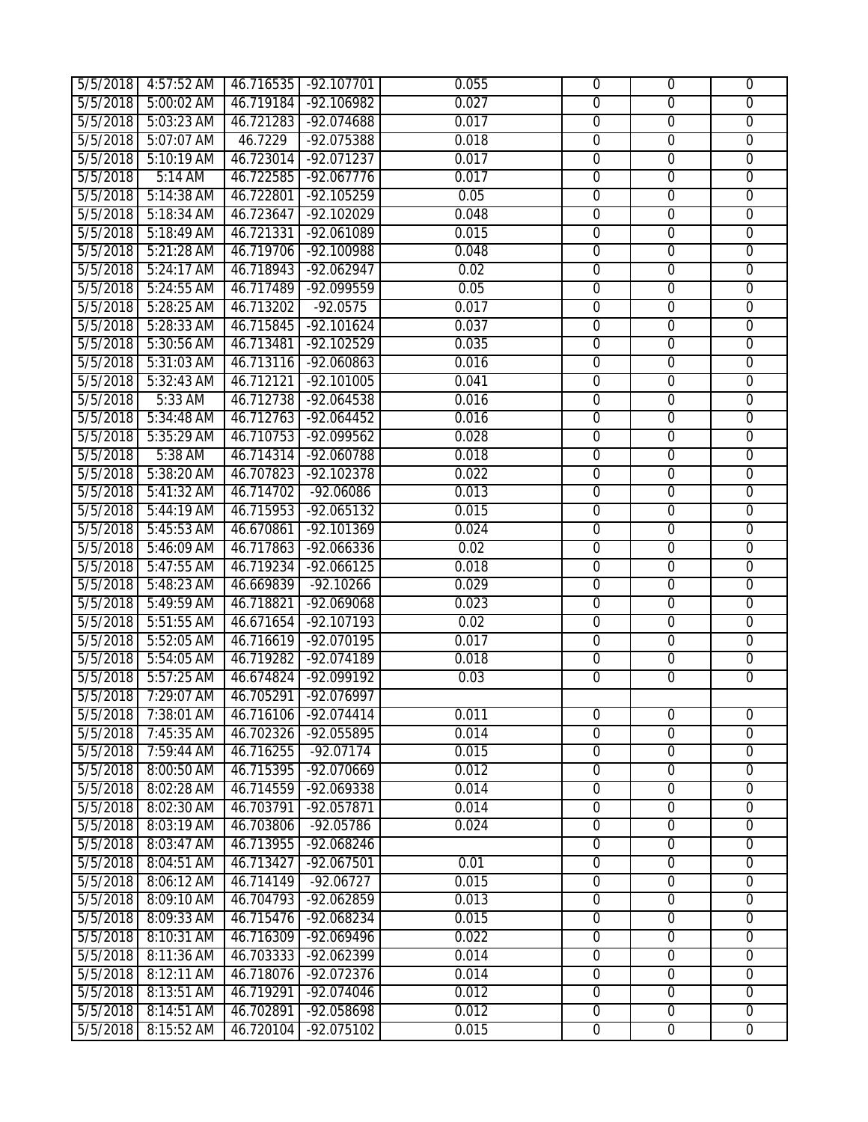| 5/5/2018 | 4:57:52 AM |           | 46.716535 -92.107701 | 0.055 | $\mathbf 0$      | $\mathbf 0$      | $\overline{0}$ |
|----------|------------|-----------|----------------------|-------|------------------|------------------|----------------|
| 5/5/2018 | 5:00:02 AM | 46.719184 | $-92.106982$         | 0.027 | $\overline{0}$   | $\overline{0}$   | $\overline{0}$ |
| 5/5/2018 | 5:03:23 AM | 46.721283 | $-92.074688$         | 0.017 | $\overline{0}$   | $\overline{0}$   | $\overline{0}$ |
| 5/5/2018 | 5:07:07 AM | 46.7229   | $-92.075388$         | 0.018 | $\overline{0}$   | $\overline{0}$   | $\overline{0}$ |
| 5/5/2018 | 5:10:19 AM | 46.723014 | -92.071237           | 0.017 | $\boldsymbol{0}$ | $\overline{0}$   | $\overline{0}$ |
| 5/5/2018 | 5:14 AM    | 46.722585 | $-92.067776$         | 0.017 | $\overline{0}$   | $\overline{0}$   | $\overline{0}$ |
| 5/5/2018 | 5:14:38 AM | 46.722801 | $-92.105259$         | 0.05  | $\overline{0}$   | $\overline{0}$   | $\overline{0}$ |
| 5/5/2018 | 5:18:34 AM | 46.723647 | $-92.102029$         | 0.048 | $\overline{0}$   | $\overline{0}$   | $\overline{0}$ |
| 5/5/2018 | 5:18:49 AM | 46.721331 | -92.061089           | 0.015 | $\overline{0}$   | $\overline{0}$   | $\overline{0}$ |
| 5/5/2018 | 5:21:28 AM | 46.719706 | $-92.100988$         | 0.048 | $\overline{0}$   | $\overline{0}$   | $\overline{0}$ |
| 5/5/2018 | 5:24:17 AM | 46.718943 | $-92.062947$         | 0.02  | $\overline{0}$   | $\overline{0}$   | $\overline{0}$ |
| 5/5/2018 | 5:24:55 AM | 46.717489 | -92.099559           | 0.05  | $\overline{0}$   | $\overline{0}$   | $\overline{0}$ |
| 5/5/2018 | 5:28:25 AM | 46.713202 | $-92.0575$           | 0.017 | $\overline{0}$   | $\overline{0}$   | $\overline{0}$ |
| 5/5/2018 | 5:28:33 AM | 46.715845 | $-92.101624$         | 0.037 | $\overline{0}$   | $\overline{0}$   | $\overline{0}$ |
| 5/5/2018 | 5:30:56 AM | 46.713481 | $-92.102529$         | 0.035 | $\mathbf 0$      | $\mathbf 0$      | $\overline{0}$ |
| 5/5/2018 | 5:31:03 AM |           | 46.713116 -92.060863 | 0.016 | $\overline{0}$   | $\overline{0}$   | $\overline{0}$ |
| 5/5/2018 | 5:32:43 AM | 46.712121 | $-92.101005$         | 0.041 | $\overline{0}$   | $\overline{0}$   | $\overline{0}$ |
| 5/5/2018 | 5:33 AM    | 46.712738 | $-92.064538$         | 0.016 | $\overline{0}$   | $\overline{0}$   | $\overline{0}$ |
| 5/5/2018 | 5:34:48 AM | 46.712763 | $-92.064452$         | 0.016 | $\overline{0}$   | $\overline{0}$   | $\overline{0}$ |
| 5/5/2018 | 5:35:29 AM | 46.710753 | $-92.099562$         | 0.028 | $\overline{0}$   | $\overline{0}$   | $\overline{0}$ |
| 5/5/2018 | 5:38 AM    | 46.714314 | $-92.060788$         | 0.018 | $\overline{0}$   | $\overline{0}$   | $\overline{0}$ |
| 5/5/2018 | 5:38:20 AM | 46.707823 | $-92.102378$         | 0.022 | $\overline{0}$   | $\overline{0}$   | $\overline{0}$ |
| 5/5/2018 | 5:41:32 AM | 46.714702 | $-92.06086$          | 0.013 | $\overline{0}$   | $\overline{0}$   | $\overline{0}$ |
| 5/5/2018 | 5:44:19 AM | 46.715953 | $-92.065132$         | 0.015 | $\overline{0}$   | $\overline{0}$   | $\overline{0}$ |
| 5/5/2018 | 5:45:53 AM | 46.670861 | $-92.101369$         | 0.024 | $\mathbf 0$      | $\mathbf 0$      | $\overline{0}$ |
| 5/5/2018 | 5:46:09 AM | 46.717863 | $-92.066336$         | 0.02  | $\overline{0}$   | $\overline{0}$   | $\overline{0}$ |
| 5/5/2018 | 5:47:55 AM | 46.719234 | $-92.066125$         | 0.018 | $\overline{0}$   | $\overline{0}$   | $\overline{0}$ |
| 5/5/2018 | 5:48:23 AM | 46.669839 | $-92.10266$          | 0.029 | $\overline{0}$   | $\overline{0}$   | $\overline{0}$ |
| 5/5/2018 | 5:49:59 AM | 46.718821 | $-92.069068$         | 0.023 | $\overline{0}$   | $\overline{0}$   | $\overline{0}$ |
| 5/5/2018 | 5:51:55 AM | 46.671654 | $-92.107193$         | 0.02  | $\overline{0}$   | $\overline{0}$   | $\overline{0}$ |
| 5/5/2018 | 5:52:05 AM | 46.716619 | $-92.070195$         | 0.017 | $\overline{0}$   | $\overline{0}$   | $\overline{0}$ |
| 5/5/2018 | 5:54:05 AM |           | 46.719282 -92.074189 | 0.018 | $\overline{0}$   | $\overline{0}$   | $\overline{0}$ |
| 5/5/2018 | 5:57:25 AM | 46.674824 | $-92.099192$         | 0.03  | $\overline{0}$   | $\overline{0}$   | $\overline{0}$ |
| 5/5/2018 | 7:29:07 AM | 46.705291 | $-92.076997$         |       |                  |                  |                |
| 5/5/2018 | 7:38:01 AM | 46.716106 | -92.074414           | 0.011 | $\overline{0}$   | $\overline{0}$   | 0              |
| 5/5/2018 | 7:45:35 AM | 46.702326 | $-92.055895$         | 0.014 | $\overline{0}$   | $\overline{0}$   | $\overline{0}$ |
| 5/5/2018 | 7:59:44 AM | 46.716255 | $-92.07174$          | 0.015 | $\overline{0}$   | $\overline{0}$   | $\overline{0}$ |
| 5/5/2018 | 8:00:50 AM | 46.715395 | $-92.070669$         | 0.012 | $\overline{0}$   | $\overline{0}$   | $\overline{0}$ |
| 5/5/2018 | 8:02:28 AM | 46.714559 | $-92.069338$         | 0.014 | $\overline{0}$   | $\overline{0}$   | $\overline{0}$ |
| 5/5/2018 | 8:02:30 AM | 46.703791 | $-92.057871$         | 0.014 | $\overline{0}$   | $\overline{0}$   | $\overline{0}$ |
| 5/5/2018 | 8:03:19 AM | 46.703806 | $-92.05786$          | 0.024 | $\overline{0}$   | $\overline{0}$   | $\overline{0}$ |
| 5/5/2018 | 8:03:47 AM | 46.713955 | $-92.068246$         |       | $\overline{0}$   | $\overline{0}$   | $\overline{0}$ |
| 5/5/2018 | 8:04:51 AM | 46.713427 | -92.067501           | 0.01  | $\mathbf 0$      | $\mathbf 0$      | $\mathbf 0$    |
| 5/5/2018 | 8:06:12 AM | 46.714149 | $-92.06727$          | 0.015 | $\mathbf 0$      | $\overline{0}$   | $\mathbf 0$    |
| 5/5/2018 | 8:09:10 AM | 46.704793 | $-92.062859$         | 0.013 | $\overline{0}$   | $\overline{0}$   | $\overline{0}$ |
| 5/5/2018 | 8:09:33 AM | 46.715476 | $-92.068234$         | 0.015 | $\overline{0}$   | $\overline{0}$   | $\overline{0}$ |
| 5/5/2018 | 8:10:31 AM | 46.716309 | $-92.069496$         | 0.022 | $\overline{0}$   | $\overline{0}$   | $\overline{0}$ |
| 5/5/2018 | 8:11:36 AM | 46.703333 | $-92.062399$         | 0.014 | $\mathbf{0}$     | $\overline{0}$   | $\overline{0}$ |
| 5/5/2018 | 8:12:11 AM | 46.718076 | -92.072376           | 0.014 | $\overline{0}$   | $\overline{0}$   | $\overline{0}$ |
| 5/5/2018 | 8:13:51 AM | 46.719291 | $-92.074046$         | 0.012 | $\overline{0}$   | $\overline{0}$   | $\overline{0}$ |
| 5/5/2018 | 8:14:51 AM | 46.702891 | $-92.058698$         | 0.012 | $\overline{0}$   | $\boldsymbol{0}$ | $\overline{0}$ |
| 5/5/2018 | 8:15:52 AM | 46.720104 | $-92.075102$         | 0.015 | $\overline{0}$   | $\overline{0}$   | $\overline{0}$ |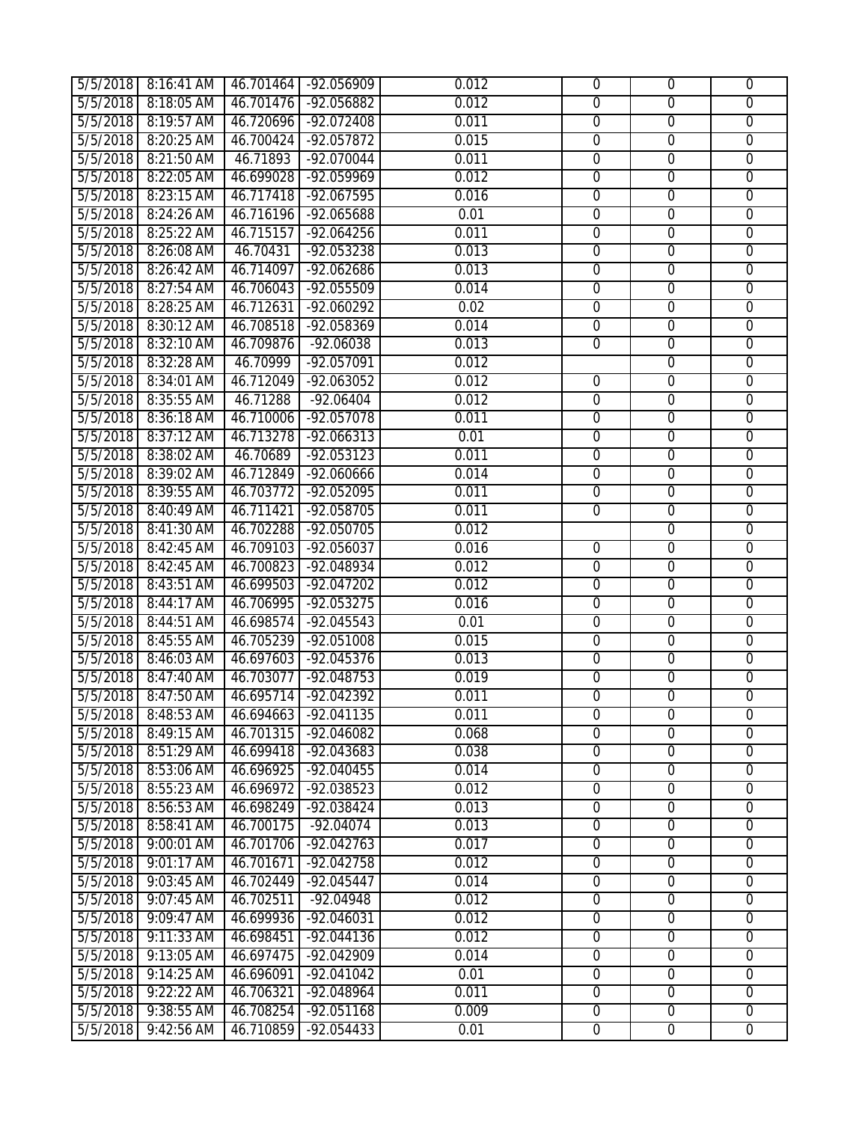| 5/5/2018 | 8:16:41 AM |           | 46.701464 -92.056909 | 0.012 | $\overline{0}$ | $\overline{0}$ | $\overline{0}$ |
|----------|------------|-----------|----------------------|-------|----------------|----------------|----------------|
| 5/5/2018 | 8:18:05 AM | 46.701476 | $-92.056882$         | 0.012 | $\overline{0}$ | $\overline{0}$ | $\overline{0}$ |
| 5/5/2018 | 8:19:57 AM | 46.720696 | $-92.072408$         | 0.011 | $\overline{0}$ | $\overline{0}$ | $\overline{0}$ |
| 5/5/2018 | 8:20:25 AM | 46.700424 | $-92.057872$         | 0.015 | $\overline{0}$ | $\overline{0}$ | $\overline{0}$ |
| 5/5/2018 | 8:21:50 AM | 46.71893  | -92.070044           | 0.011 | $\mathbf 0$    | $\overline{0}$ | $\overline{0}$ |
| 5/5/2018 | 8:22:05 AM | 46.699028 | $-92.059969$         | 0.012 | $\overline{0}$ | $\overline{0}$ | $\overline{0}$ |
| 5/5/2018 | 8:23:15 AM | 46.717418 | $-92.067595$         | 0.016 | $\overline{0}$ | $\mathbf 0$    | $\overline{0}$ |
| 5/5/2018 | 8:24:26 AM | 46.716196 | $-92.065688$         | 0.01  | $\overline{0}$ | $\overline{0}$ | $\overline{0}$ |
| 5/5/2018 | 8:25:22 AM | 46.715157 | $-92.064256$         | 0.011 | $\overline{0}$ | $\overline{0}$ | $\overline{0}$ |
| 5/5/2018 | 8:26:08 AM | 46.70431  | $-92.053238$         | 0.013 | $\overline{0}$ | $\overline{0}$ | $\overline{0}$ |
| 5/5/2018 | 8:26:42 AM | 46.714097 | $-92.062686$         | 0.013 | $\overline{0}$ | $\overline{0}$ | $\overline{0}$ |
| 5/5/2018 | 8:27:54 AM | 46.706043 | $-92.055509$         | 0.014 | $\overline{0}$ | $\overline{0}$ | $\overline{0}$ |
| 5/5/2018 | 8:28:25 AM | 46.712631 | $-92.060292$         | 0.02  | $\overline{0}$ | $\overline{0}$ | $\overline{0}$ |
| 5/5/2018 | 8:30:12 AM | 46.708518 | $-92.058369$         | 0.014 | $\overline{0}$ | $\mathbf 0$    | $\overline{0}$ |
| 5/5/2018 | 8:32:10 AM | 46.709876 | $-92.06038$          | 0.013 | $\mathbf 0$    | $\mathbf 0$    | $\overline{0}$ |
| 5/5/2018 | 8:32:28 AM | 46.70999  | $-92.057091$         | 0.012 |                | $\overline{0}$ | $\overline{0}$ |
| 5/5/2018 | 8:34:01 AM | 46.712049 | $-92.063052$         | 0.012 | $\overline{0}$ | $\overline{0}$ | $\overline{0}$ |
| 5/5/2018 | 8:35:55 AM | 46.71288  | $-92.06404$          | 0.012 | $\overline{0}$ | $\overline{0}$ | $\overline{0}$ |
| 5/5/2018 | 8:36:18 AM | 46.710006 | $-92.057078$         | 0.011 | $\overline{0}$ | $\overline{0}$ | $\overline{0}$ |
| 5/5/2018 | 8:37:12 AM | 46.713278 | $-92.066313$         | 0.01  | $\overline{0}$ | $\overline{0}$ | $\overline{0}$ |
| 5/5/2018 | 8:38:02 AM | 46.70689  | $-92.053123$         | 0.011 | $\overline{0}$ | $\overline{0}$ | $\overline{0}$ |
| 5/5/2018 | 8:39:02 AM | 46.712849 | $-92.060666$         | 0.014 | $\overline{0}$ | $\overline{0}$ | $\overline{0}$ |
| 5/5/2018 | 8:39:55 AM | 46.703772 | $-92.052095$         | 0.011 | $\overline{0}$ | $\overline{0}$ | $\overline{0}$ |
| 5/5/2018 | 8:40:49 AM | 46.711421 | $-92.058705$         | 0.011 | $\overline{0}$ | $\overline{0}$ | $\overline{0}$ |
| 5/5/2018 | 8:41:30 AM | 46.702288 | $-92.050705$         | 0.012 |                | $\overline{0}$ | $\overline{0}$ |
| 5/5/2018 | 8:42:45 AM | 46.709103 | $-92.056037$         | 0.016 | $\overline{0}$ | $\overline{0}$ | $\overline{0}$ |
| 5/5/2018 | 8:42:45 AM | 46.700823 | $-92.048934$         | 0.012 | $\overline{0}$ | $\overline{0}$ | $\overline{0}$ |
| 5/5/2018 | 8:43:51 AM | 46.699503 | $-92.047202$         | 0.012 | $\overline{0}$ | $\overline{0}$ | $\overline{0}$ |
| 5/5/2018 | 8:44:17 AM | 46.706995 | $-92.053275$         | 0.016 | $\overline{0}$ | $\overline{0}$ | $\overline{0}$ |
| 5/5/2018 | 8:44:51 AM | 46.698574 | $-92.045543$         | 0.01  | $\overline{0}$ | $\overline{0}$ | $\overline{0}$ |
| 5/5/2018 | 8:45:55 AM | 46.705239 | $-92.051008$         | 0.015 | $\overline{0}$ | $\overline{0}$ | $\overline{0}$ |
| 5/5/2018 | 8:46:03 AM | 46.697603 | $-92.045376$         | 0.013 | $\overline{0}$ | $\overline{0}$ | $\overline{0}$ |
| 5/5/2018 | 8:47:40 AM | 46.703077 | $-92.048753$         | 0.019 | $\overline{0}$ | $\overline{0}$ | $\overline{0}$ |
| 5/5/2018 | 8:47:50 AM | 46.695714 | $-92.042392$         | 0.011 | $\overline{0}$ | $\overline{0}$ | $\overline{0}$ |
| 5/5/2018 | 8:48:53 AM | 46.694663 | -92.041135           | 0.011 | 0              | 0              | 0              |
| 5/5/2018 | 8:49:15 AM | 46.701315 | $-92.046082$         | 0.068 | $\overline{0}$ | $\overline{0}$ | $\overline{0}$ |
| 5/5/2018 | 8:51:29 AM | 46.699418 | $-92.043683$         | 0.038 | $\overline{0}$ | $\overline{0}$ | $\overline{0}$ |
| 5/5/2018 | 8:53:06 AM | 46.696925 | $-92.040455$         | 0.014 | $\overline{0}$ | $\overline{0}$ | $\overline{0}$ |
| 5/5/2018 | 8:55:23 AM | 46.696972 | $-92.038523$         | 0.012 | $\overline{0}$ | $\overline{0}$ | $\overline{0}$ |
| 5/5/2018 | 8:56:53 AM | 46.698249 | $-92.038424$         | 0.013 | $\overline{0}$ | $\overline{0}$ | $\overline{0}$ |
| 5/5/2018 | 8:58:41 AM | 46.700175 | $-92.04074$          | 0.013 | $\overline{0}$ | $\overline{0}$ | $\overline{0}$ |
| 5/5/2018 | 9:00:01 AM | 46.701706 | $-92.042763$         | 0.017 | $\overline{0}$ | $\overline{0}$ | $\overline{0}$ |
| 5/5/2018 | 9:01:17 AM | 46.701671 | -92.042758           | 0.012 | $\mathbf 0$    | $\overline{0}$ | $\mathbf 0$    |
| 5/5/2018 | 9:03:45 AM | 46.702449 | $-92.045447$         | 0.014 | $\overline{0}$ | $\mathbf 0$    | $\mathbf 0$    |
| 5/5/2018 | 9:07:45 AM | 46.702511 | $-92.04948$          | 0.012 | $\overline{0}$ | $\overline{0}$ | $\overline{0}$ |
| 5/5/2018 | 9:09:47 AM | 46.699936 | $-92.046031$         | 0.012 | $\overline{0}$ | $\overline{0}$ | $\overline{0}$ |
| 5/5/2018 | 9:11:33 AM | 46.698451 | $-92.044136$         | 0.012 | $\overline{0}$ | $\overline{0}$ | $\overline{0}$ |
| 5/5/2018 | 9:13:05 AM | 46.697475 | $-92.042909$         | 0.014 | $\overline{0}$ | $\overline{0}$ | $\overline{0}$ |
| 5/5/2018 | 9:14:25 AM | 46.696091 | $-92.041042$         | 0.01  | $\overline{0}$ | $\overline{0}$ | $\overline{0}$ |
| 5/5/2018 | 9:22:22 AM | 46.706321 | $-92.048964$         | 0.011 | $\overline{0}$ | $\overline{0}$ | $\overline{0}$ |
| 5/5/2018 | 9:38:55 AM | 46.708254 | $-92.051168$         | 0.009 | $\overline{0}$ | $\overline{0}$ | $\overline{0}$ |
| 5/5/2018 | 9:42:56 AM | 46.710859 | $-92.054433$         | 0.01  | $\overline{0}$ | $\overline{0}$ | $\overline{0}$ |
|          |            |           |                      |       |                |                |                |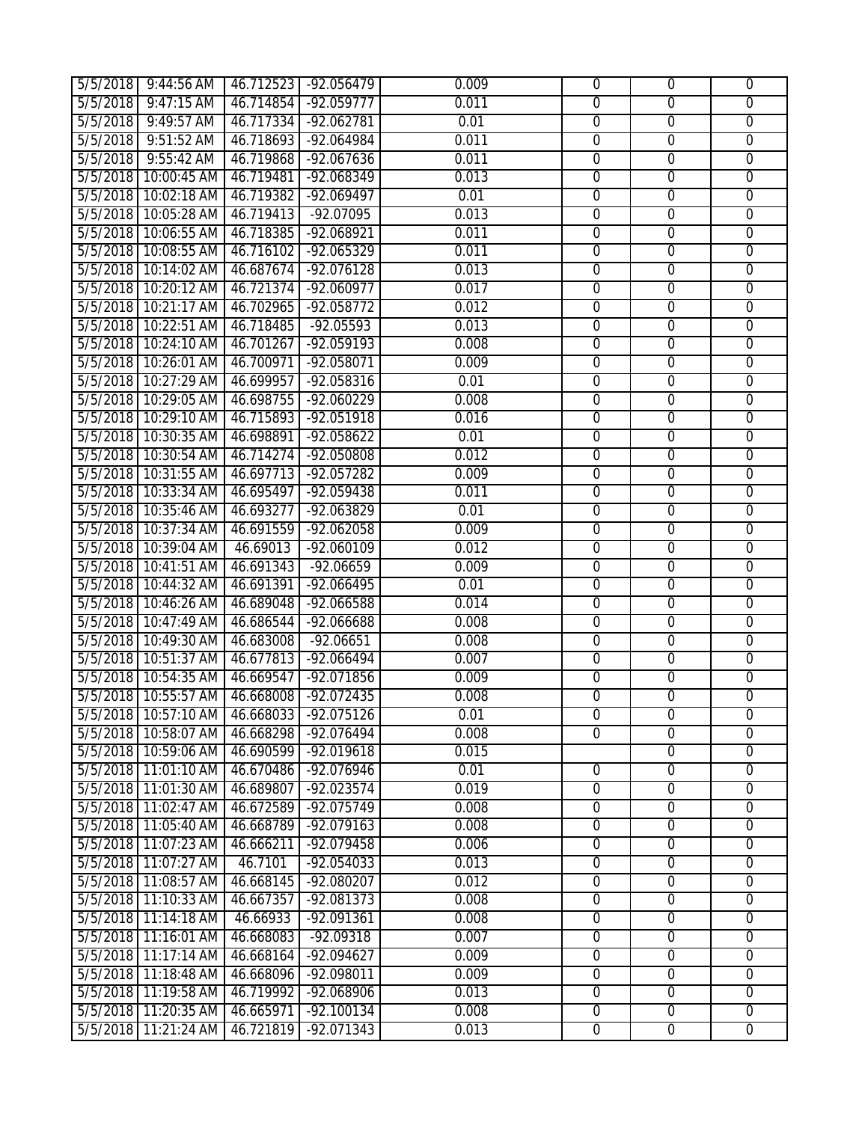|          | 5/5/2018 9:44:56 AM                       |           | 46.712523 -92.056479 | 0.009 | $\Omega$       | $\mathbf 0$    | $\overline{0}$ |
|----------|-------------------------------------------|-----------|----------------------|-------|----------------|----------------|----------------|
| 5/5/2018 | $9:47:15$ AM                              | 46.714854 | $-92.059777$         | 0.011 | $\overline{0}$ | $\overline{0}$ | $\overline{0}$ |
| 5/5/2018 | $9:49:57$ AM                              |           | 46.717334 -92.062781 | 0.01  | $\overline{0}$ | $\overline{0}$ | $\overline{0}$ |
| 5/5/2018 | $9:51:52$ AM                              |           | 46.718693 -92.064984 | 0.011 | $\overline{0}$ | $\overline{0}$ | $\overline{0}$ |
| 5/5/2018 | 9:55:42 AM                                |           | 46.719868 -92.067636 | 0.011 | $\mathbf 0$    | $\overline{0}$ | $\mathbf 0$    |
| 5/5/2018 | 10:00:45 AM                               | 46.719481 | $-92.068349$         | 0.013 | $\overline{0}$ | $\overline{0}$ | $\overline{0}$ |
| 5/5/2018 | 10:02:18 AM                               | 46.719382 | $-92.069497$         | 0.01  | $\overline{0}$ | $\overline{0}$ | $\overline{0}$ |
|          | 5/5/2018 10:05:28 AM                      | 46.719413 | $-92.07095$          | 0.013 | $\overline{0}$ | $\overline{0}$ | $\overline{0}$ |
|          | 5/5/2018 10:06:55 AM                      | 46.718385 | $-92.068921$         | 0.011 | $\overline{0}$ | $\overline{0}$ | $\overline{0}$ |
|          | 5/5/2018 10:08:55 AM                      |           | 46.716102 -92.065329 | 0.011 | $\overline{0}$ | $\overline{0}$ | $\overline{0}$ |
|          | 5/5/2018 10:14:02 AM                      |           | 46.687674 -92.076128 | 0.013 | $\overline{0}$ | $\overline{0}$ | $\overline{0}$ |
|          | 5/5/2018 10:20:12 AM                      | 46.721374 | $-92.060977$         | 0.017 | $\overline{0}$ | $\overline{0}$ | $\overline{0}$ |
|          | 5/5/2018 10:21:17 AM                      | 46.702965 | $-92.058772$         | 0.012 | $\overline{0}$ | $\overline{0}$ | $\overline{0}$ |
|          | 5/5/2018 10:22:51 AM                      | 46.718485 | $-92.05593$          | 0.013 | $\overline{0}$ | $\overline{0}$ | $\overline{0}$ |
|          | 5/5/2018 10:24:10 AM                      |           | 46.701267 -92.059193 | 0.008 | $\mathbf 0$    | $\mathbf 0$    | $\overline{0}$ |
|          | 5/5/2018 10:26:01 AM 46.700971 -92.058071 |           |                      | 0.009 | $\overline{0}$ | $\overline{0}$ | $\overline{0}$ |
| 5/5/2018 | 10:27:29 AM                               | 46.699957 | $-92.058316$         | 0.01  | $\overline{0}$ | $\overline{0}$ | $\overline{0}$ |
| 5/5/2018 | 10:29:05 AM                               | 46.698755 | $-92.060229$         | 0.008 | $\overline{0}$ | $\overline{0}$ | $\overline{0}$ |
|          | 5/5/2018 10:29:10 AM                      | 46.715893 | $-92.051918$         | 0.016 | $\overline{0}$ | $\overline{0}$ | $\overline{0}$ |
|          | 5/5/2018 10:30:35 AM                      | 46.698891 | $-92.058622$         | 0.01  | $\overline{0}$ | $\overline{0}$ | $\overline{0}$ |
|          | 5/5/2018 10:30:54 AM                      |           | 46.714274 -92.050808 | 0.012 | $\overline{0}$ | $\overline{0}$ | $\overline{0}$ |
|          | 5/5/2018 10:31:55 AM                      |           | 46.697713 -92.057282 | 0.009 | $\overline{0}$ | $\overline{0}$ | $\overline{0}$ |
|          | 5/5/2018 10:33:34 AM                      | 46.695497 | $-92.059438$         | 0.011 | $\overline{0}$ | $\overline{0}$ | $\overline{0}$ |
|          | 5/5/2018 10:35:46 AM                      | 46.693277 | $-92.063829$         | 0.01  | $\overline{0}$ | $\overline{0}$ | $\overline{0}$ |
|          | 5/5/2018 10:37:34 AM                      |           | 46.691559 -92.062058 | 0.009 | $\mathbf 0$    | $\mathbf 0$    | $\overline{0}$ |
|          | 5/5/2018 10:39:04 AM                      | 46.69013  | $-92.060109$         | 0.012 | $\overline{0}$ | $\overline{0}$ | $\overline{0}$ |
|          | 5/5/2018 10:41:51 AM                      | 46.691343 | $-92.06659$          | 0.009 | $\overline{0}$ | $\overline{0}$ | $\overline{0}$ |
| 5/5/2018 | 10:44:32 AM                               | 46.691391 | $-92.066495$         | 0.01  | $\overline{0}$ | $\overline{0}$ | $\overline{0}$ |
| 5/5/2018 | 10:46:26 AM                               | 46.689048 | $-92.066588$         | 0.014 | $\overline{0}$ | $\overline{0}$ | $\overline{0}$ |
| 5/5/2018 | 10:47:49 AM                               | 46.686544 | $-92.066688$         | 0.008 | $\overline{0}$ | $\overline{0}$ | $\overline{0}$ |
|          | 5/5/2018 10:49:30 AM                      | 46.683008 | $-92.06651$          | 0.008 | $\overline{0}$ | $\overline{0}$ | $\overline{0}$ |
|          | 5/5/2018 10:51:37 AM                      |           | 46.677813 -92.066494 | 0.007 | $\overline{0}$ | $\overline{0}$ | $\overline{0}$ |
|          | 5/5/2018 10:54:35 AM                      |           | 46.669547 -92.071856 | 0.009 | $\overline{0}$ | $\overline{0}$ | $\overline{0}$ |
| 5/5/2018 | 10:55:57 AM                               | 46.668008 | $-92.072435$         | 0.008 | $\overline{0}$ | $\overline{0}$ | $\overline{0}$ |
|          | 5/5/2018   10:57:10 AM   46.668033        |           | -92.075126           | 0.01  | $\overline{0}$ | 0              | 0              |
|          | 5/5/2018 10:58:07 AM                      | 46.668298 | $-92.076494$         | 0.008 | $\overline{0}$ | $\overline{0}$ | $\overline{0}$ |
|          | 5/5/2018 10:59:06 AM                      | 46.690599 | $-92.019618$         | 0.015 |                | $\overline{0}$ | $\overline{0}$ |
|          | 5/5/2018 11:01:10 AM                      | 46.670486 | $-92.076946$         | 0.01  | $\overline{0}$ | $\overline{0}$ | $\overline{0}$ |
| 5/5/2018 | 11:01:30 AM                               | 46.689807 | $-92.023574$         | 0.019 | $\overline{0}$ | $\overline{0}$ | $\overline{0}$ |
| 5/5/2018 | 11:02:47 AM                               | 46.672589 | $-92.075749$         | 0.008 | $\overline{0}$ | $\overline{0}$ | $\overline{0}$ |
|          | 5/5/2018 11:05:40 AM                      | 46.668789 | $-92.079163$         | 0.008 | $\overline{0}$ | $\overline{0}$ | $\overline{0}$ |
|          | 5/5/2018 11:07:23 AM                      | 46.666211 | -92.079458           | 0.006 | $\mathbf{0}$   | $\overline{0}$ | $\overline{0}$ |
| 5/5/2018 | 11:07:27 AM                               | 46.7101   | $-92.054033$         | 0.013 | $\mathbf 0$    | $\mathbf 0$    | $\mathbf 0$    |
| 5/5/2018 | 11:08:57 AM                               | 46.668145 | -92.080207           | 0.012 | $\mathbf 0$    | $\overline{0}$ | $\mathbf 0$    |
| 5/5/2018 | 11:10:33 AM                               | 46.667357 | $-92.081373$         | 0.008 | $\overline{0}$ | $\overline{0}$ | $\overline{0}$ |
| 5/5/2018 | 11:14:18 AM                               | 46.66933  | $-92.091361$         | 0.008 | $\overline{0}$ | $\overline{0}$ | $\overline{0}$ |
|          | 5/5/2018 11:16:01 AM                      | 46.668083 | $-92.09318$          | 0.007 | $\overline{0}$ | $\overline{0}$ | $\overline{0}$ |
|          | 5/5/2018 11:17:14 AM                      | 46.668164 | $-92.094627$         | 0.009 | $\mathbf{0}$   | $\overline{0}$ | $\overline{0}$ |
| 5/5/2018 | 11:18:48 AM                               | 46.668096 | -92.098011           | 0.009 | $\overline{0}$ | $\overline{0}$ | $\overline{0}$ |
| 5/5/2018 | 11:19:58 AM                               | 46.719992 | $-92.068906$         | 0.013 | $\overline{0}$ | $\overline{0}$ | $\overline{0}$ |
| 5/5/2018 | 11:20:35 AM                               | 46.665971 | $-92.100134$         | 0.008 | $\overline{0}$ | $\mathbf 0$    | $\overline{0}$ |
| 5/5/2018 | 11:21:24 AM                               | 46.721819 | $-92.071343$         | 0.013 | $\overline{0}$ | $\overline{0}$ | $\overline{0}$ |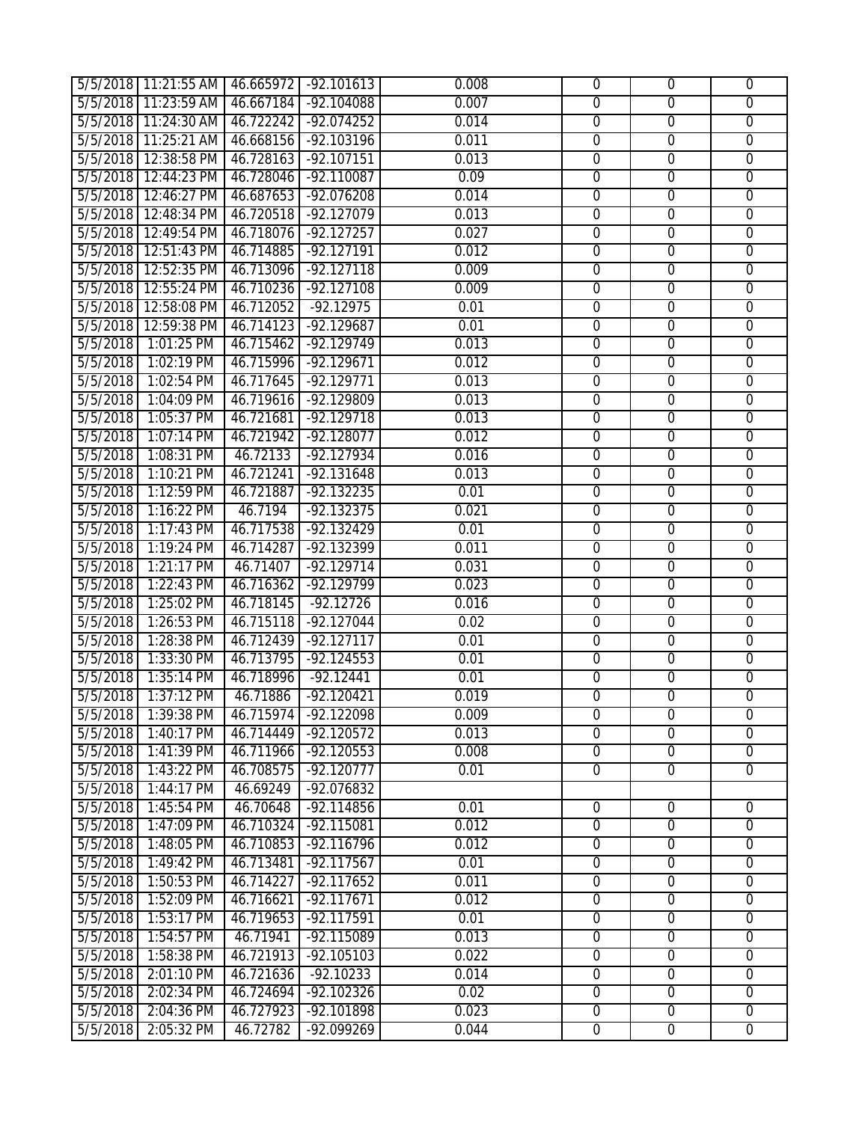|          | 5/5/2018 11:21:55 AM 46.665972 -92.101613 |           |                      | 0.008 | $\Omega$       | $\mathbf 0$      | $\overline{0}$ |
|----------|-------------------------------------------|-----------|----------------------|-------|----------------|------------------|----------------|
|          | 5/5/2018 11:23:59 AM                      | 46.667184 | $-92.104088$         | 0.007 | $\overline{0}$ | $\overline{0}$   | $\overline{0}$ |
|          | 5/5/2018 11:24:30 AM                      |           | 46.722242 -92.074252 | 0.014 | $\overline{0}$ | $\overline{0}$   | $\overline{0}$ |
|          | 5/5/2018 11:25:21 AM                      |           | 46.668156 -92.103196 | 0.011 | $\overline{0}$ | $\overline{0}$   | $\overline{0}$ |
| 5/5/2018 | 12:38:58 PM                               | 46.728163 | $-92.107151$         | 0.013 | $\mathbf 0$    | $\overline{0}$   | $\mathbf 0$    |
| 5/5/2018 | 12:44:23 PM                               | 46.728046 | $-92.110087$         | 0.09  | $\overline{0}$ | $\overline{0}$   | $\overline{0}$ |
| 5/5/2018 | 12:46:27 PM                               | 46.687653 | $-92.076208$         | 0.014 | $\overline{0}$ | $\overline{0}$   | $\overline{0}$ |
| 5/5/2018 | 12:48:34 PM                               | 46.720518 | $-92.127079$         | 0.013 | $\overline{0}$ | $\overline{0}$   | $\overline{0}$ |
|          | 5/5/2018 12:49:54 PM                      | 46.718076 | $-92.127257$         | 0.027 | $\overline{0}$ | $\overline{0}$   | $\overline{0}$ |
|          | 5/5/2018 12:51:43 PM                      | 46.714885 | $-92.127191$         | 0.012 | $\overline{0}$ | $\overline{0}$   | $\overline{0}$ |
|          | 5/5/2018 12:52:35 PM                      | 46.713096 | $-92.127118$         | 0.009 | $\overline{0}$ | $\overline{0}$   | $\overline{0}$ |
| 5/5/2018 | 12:55:24 PM                               | 46.710236 | $-92.127108$         | 0.009 | $\overline{0}$ | $\overline{0}$   | $\overline{0}$ |
| 5/5/2018 | 12:58:08 PM                               | 46.712052 | $-92.12975$          | 0.01  | $\overline{0}$ | $\overline{0}$   | $\overline{0}$ |
|          | 5/5/2018 12:59:38 PM                      | 46.714123 | $-92.129687$         | 0.01  | $\overline{0}$ | $\overline{0}$   | $\overline{0}$ |
| 5/5/2018 | $1:01:25$ PM                              | 46.715462 | $-92.129749$         | 0.013 | $\mathbf 0$    | $\mathbf 0$      | $\overline{0}$ |
| 5/5/2018 | $1:02:19$ PM                              | 46.715996 | $-92.129671$         | 0.012 | $\overline{0}$ | $\overline{0}$   | $\overline{0}$ |
| 5/5/2018 | 1:02:54 PM                                | 46.717645 | $-92.129771$         | 0.013 | $\overline{0}$ | $\overline{0}$   | $\overline{0}$ |
| 5/5/2018 | 1:04:09 PM                                | 46.719616 | $-92.129809$         | 0.013 | $\overline{0}$ | $\overline{0}$   | $\overline{0}$ |
| 5/5/2018 | 1:05:37 PM                                | 46.721681 | $-92.129718$         | 0.013 | $\overline{0}$ | $\overline{0}$   | $\overline{0}$ |
| 5/5/2018 | $1:07:14$ PM                              | 46.721942 | $-92.128077$         | 0.012 | $\overline{0}$ | $\overline{0}$   | $\overline{0}$ |
| 5/5/2018 | 1:08:31 PM                                | 46.72133  | $-92.127934$         | 0.016 | $\overline{0}$ | $\overline{0}$   | $\overline{0}$ |
| 5/5/2018 | $1:10:21$ PM                              | 46.721241 | $-92.131648$         | 0.013 | $\overline{0}$ | $\overline{0}$   | $\overline{0}$ |
| 5/5/2018 | 1:12:59 PM                                | 46.721887 | $-92.132235$         | 0.01  | $\overline{0}$ | $\overline{0}$   | $\overline{0}$ |
| 5/5/2018 | 1:16:22 PM                                | 46.7194   | $-92.132375$         | 0.021 | $\overline{0}$ | $\overline{0}$   | $\overline{0}$ |
| 5/5/2018 | $1:17:43$ PM                              | 46.717538 | $-92.132429$         | 0.01  | $\mathbf 0$    | $\mathbf 0$      | $\overline{0}$ |
| 5/5/2018 | $1:19:24$ PM                              | 46.714287 | $-92.132399$         | 0.011 | $\mathbf{0}$   | $\overline{0}$   | $\overline{0}$ |
| 5/5/2018 | $1:21:17$ PM                              | 46.71407  | $-92.129714$         | 0.031 | $\overline{0}$ | $\overline{0}$   | $\overline{0}$ |
| 5/5/2018 | 1:22:43 PM                                | 46.716362 | $-92.129799$         | 0.023 | $\overline{0}$ | $\overline{0}$   | $\overline{0}$ |
| 5/5/2018 | 1:25:02 PM                                | 46.718145 | $-92.12726$          | 0.016 | $\overline{0}$ | $\overline{0}$   | $\overline{0}$ |
| 5/5/2018 | 1:26:53 PM                                | 46.715118 | $-92.127044$         | 0.02  | $\overline{0}$ | $\overline{0}$   | $\overline{0}$ |
| 5/5/2018 | 1:28:38 PM                                | 46.712439 | $-92.127117$         | 0.01  | $\overline{0}$ | $\overline{0}$   | $\overline{0}$ |
| 5/5/2018 | 1:33:30 PM                                | 46.713795 | $-92.124553$         | 0.01  | $\overline{0}$ | $\overline{0}$   | $\overline{0}$ |
| 5/5/2018 | $1:35:14$ PM                              | 46.718996 | $-92.12441$          | 0.01  | $\overline{0}$ | $\overline{0}$   | $\overline{0}$ |
| 5/5/2018 | $1:37:12$ PM                              | 46.71886  | $-92.120421$         | 0.019 | $\overline{0}$ | $\overline{0}$   | $\overline{0}$ |
| 5/5/2018 | $1:39:38$ PM                              | 46.715974 | -92.122098           | 0.009 | $\overline{0}$ | $\overline{0}$   | 0              |
| 5/5/2018 | 1:40:17 PM                                | 46.714449 | $-92.120572$         | 0.013 | $\overline{0}$ | $\overline{0}$   | $\overline{0}$ |
| 5/5/2018 | $1:41:39$ PM                              | 46.711966 | $-92.120553$         | 0.008 | $\mathbf{0}$   | $\overline{0}$   | $\overline{0}$ |
| 5/5/2018 | 1:43:22 PM                                | 46.708575 | $-92.120777$         | 0.01  | $\overline{0}$ | $\overline{0}$   | $\overline{0}$ |
| 5/5/2018 | 1:44:17 PM                                | 46.69249  | $-92.076832$         |       |                |                  |                |
| 5/5/2018 | 1:45:54 PM                                | 46.70648  | $-92.114856$         | 0.01  | $\overline{0}$ | $\overline{0}$   | $\overline{0}$ |
| 5/5/2018 | 1:47:09 PM                                | 46.710324 | $-92.115081$         | 0.012 | $\overline{0}$ | $\overline{0}$   | $\overline{0}$ |
| 5/5/2018 | 1:48:05 PM                                | 46.710853 | $-92.116796$         | 0.012 | $\mathbf{0}$   | $\overline{0}$   | $\overline{0}$ |
| 5/5/2018 | 1:49:42 PM                                | 46.713481 | $-92.117567$         | 0.01  | $\mathbf 0$    | $\mathbf 0$      | $\mathbf 0$    |
| 5/5/2018 | 1:50:53 PM                                | 46.714227 | $-92.117652$         | 0.011 | $\mathbf 0$    | $\overline{0}$   | $\mathbf 0$    |
| 5/5/2018 | 1:52:09 PM                                | 46.716621 | $-92.117671$         | 0.012 | $\overline{0}$ | $\overline{0}$   | $\overline{0}$ |
| 5/5/2018 | 1:53:17 PM                                | 46.719653 | $-92.117591$         | 0.01  | $\overline{0}$ | $\overline{0}$   | $\overline{0}$ |
| 5/5/2018 | 1:54:57 PM                                | 46.71941  | $-92.115089$         | 0.013 | $\overline{0}$ | $\overline{0}$   | $\overline{0}$ |
| 5/5/2018 | 1:58:38 PM                                | 46.721913 | $-92.105103$         | 0.022 | $\mathbf{0}$   | $\overline{0}$   | $\overline{0}$ |
| 5/5/2018 | 2:01:10 PM                                | 46.721636 | $-92.10233$          | 0.014 | $\overline{0}$ | $\overline{0}$   | $\overline{0}$ |
| 5/5/2018 | 2:02:34 PM                                | 46.724694 | $-92.102326$         | 0.02  | $\overline{0}$ | $\overline{0}$   | $\overline{0}$ |
| 5/5/2018 | 2:04:36 PM                                | 46.727923 | $-92.101898$         | 0.023 | $\mathbf 0$    | $\boldsymbol{0}$ | $\overline{0}$ |
| 5/5/2018 | 2:05:32 PM                                | 46.72782  | $-92.099269$         | 0.044 | $\overline{0}$ | $\overline{0}$   | $\overline{0}$ |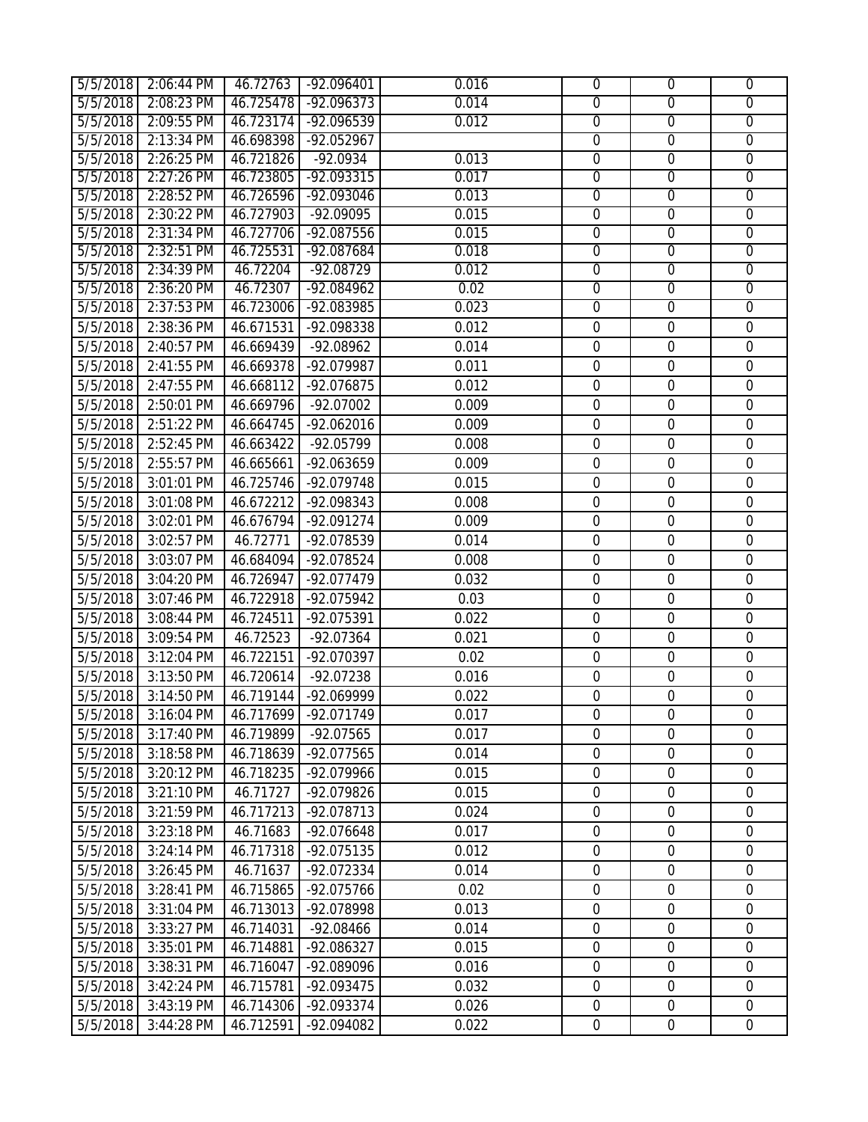|          | 5/5/2018 2:06:44 PM | 46.72763  | $-92.096401$ | 0.016 | $\overline{0}$   | $\overline{0}$   | $\overline{0}$   |
|----------|---------------------|-----------|--------------|-------|------------------|------------------|------------------|
| 5/5/2018 | 2:08:23 PM          | 46.725478 | $-92.096373$ | 0.014 | $\overline{0}$   | $\overline{0}$   | $\overline{0}$   |
| 5/5/2018 | 2:09:55 PM          | 46.723174 | $-92.096539$ | 0.012 | $\overline{0}$   | $\overline{0}$   | $\overline{0}$   |
| 5/5/2018 | 2:13:34 PM          | 46.698398 | $-92.052967$ |       | $\overline{0}$   | $\overline{0}$   | $\overline{0}$   |
| 5/5/2018 | 2:26:25 PM          | 46.721826 | $-92.0934$   | 0.013 | $\mathbf 0$      | $\overline{0}$   | $\overline{0}$   |
| 5/5/2018 | 2:27:26 PM          | 46.723805 | $-92.093315$ | 0.017 | $\overline{0}$   | $\overline{0}$   | $\overline{0}$   |
| 5/5/2018 | 2:28:52 PM          | 46.726596 | $-92.093046$ | 0.013 | $\overline{0}$   | $\mathbf 0$      | $\overline{0}$   |
| 5/5/2018 | 2:30:22 PM          | 46.727903 | $-92.09095$  | 0.015 | $\overline{0}$   | $\overline{0}$   | $\overline{0}$   |
| 5/5/2018 | 2:31:34 PM          | 46.727706 | $-92.087556$ | 0.015 | $\overline{0}$   | $\overline{0}$   | $\overline{0}$   |
| 5/5/2018 | 2:32:51 PM          | 46.725531 | $-92.087684$ | 0.018 | $\overline{0}$   | $\overline{0}$   | $\overline{0}$   |
| 5/5/2018 | 2:34:39 PM          | 46.72204  | $-92.08729$  | 0.012 | $\overline{0}$   | $\overline{0}$   | $\overline{0}$   |
| 5/5/2018 | 2:36:20 PM          | 46.72307  | $-92.084962$ | 0.02  | $\overline{0}$   | $\overline{0}$   | $\overline{0}$   |
| 5/5/2018 | 2:37:53 PM          | 46.723006 | -92.083985   | 0.023 | $\overline{0}$   | $\overline{0}$   | $\overline{0}$   |
| 5/5/2018 | 2:38:36 PM          | 46.671531 | -92.098338   | 0.012 | $\mathbf 0$      | $\mathbf 0$      | $\boldsymbol{0}$ |
| 5/5/2018 | 2:40:57 PM          | 46.669439 | -92.08962    | 0.014 | $\mathbf 0$      | $\mathbf 0$      | $\mathbf 0$      |
| 5/5/2018 | 2:41:55 PM          | 46.669378 | -92.079987   | 0.011 | $\mathbf 0$      | $\mathbf 0$      | $\boldsymbol{0}$ |
| 5/5/2018 | 2:47:55 PM          | 46.668112 | -92.076875   | 0.012 | $\mathbf 0$      | $\mathbf 0$      | $\mathbf 0$      |
| 5/5/2018 | 2:50:01 PM          | 46.669796 | $-92.07002$  | 0.009 | $\mathbf 0$      | $\mathbf 0$      | $\mathbf 0$      |
| 5/5/2018 | 2:51:22 PM          | 46.664745 | -92.062016   | 0.009 | $\mathbf 0$      | $\mathbf 0$      | $\boldsymbol{0}$ |
| 5/5/2018 | 2:52:45 PM          | 46.663422 | $-92.05799$  | 0.008 | $\mathbf 0$      | $\mathbf 0$      | $\mathbf 0$      |
| 5/5/2018 | 2:55:57 PM          | 46.665661 | -92.063659   | 0.009 | $\mathbf 0$      | $\mathbf 0$      | $\mathbf 0$      |
| 5/5/2018 | 3:01:01 PM          | 46.725746 | -92.079748   | 0.015 | $\boldsymbol{0}$ | $\mathbf 0$      | $\boldsymbol{0}$ |
| 5/5/2018 | 3:01:08 PM          | 46.672212 | -92.098343   | 0.008 | $\mathbf 0$      | $\mathbf 0$      | $\boldsymbol{0}$ |
| 5/5/2018 | 3:02:01 PM          | 46.676794 | -92.091274   | 0.009 | $\mathbf 0$      | $\mathbf 0$      | $\mathbf 0$      |
| 5/5/2018 | 3:02:57 PM          | 46.72771  | -92.078539   | 0.014 | $\mathbf 0$      | $\overline{0}$   | $\mathbf 0$      |
| 5/5/2018 | 3:03:07 PM          | 46.684094 | -92.078524   | 0.008 | $\mathbf 0$      | $\mathbf 0$      | $\boldsymbol{0}$ |
| 5/5/2018 | 3:04:20 PM          | 46.726947 | -92.077479   | 0.032 | $\mathbf 0$      | $\mathbf 0$      | $\boldsymbol{0}$ |
| 5/5/2018 | 3:07:46 PM          | 46.722918 | -92.075942   | 0.03  | $\mathbf 0$      | $\mathbf 0$      | $\mathbf 0$      |
| 5/5/2018 | 3:08:44 PM          | 46.724511 | -92.075391   | 0.022 | $\mathbf 0$      | $\boldsymbol{0}$ | $\mathbf 0$      |
| 5/5/2018 | 3:09:54 PM          | 46.72523  | $-92.07364$  | 0.021 | $\mathbf 0$      | $\mathbf 0$      | $\mathbf 0$      |
| 5/5/2018 | 3:12:04 PM          | 46.722151 | -92.070397   | 0.02  | $\mathbf 0$      | $\mathbf 0$      | $\mathbf 0$      |
| 5/5/2018 | 3:13:50 PM          | 46.720614 | $-92.07238$  | 0.016 | $\mathbf 0$      | $\mathbf 0$      | $\mathbf 0$      |
| 5/5/2018 | 3:14:50 PM          | 46.719144 | -92.069999   | 0.022 | $\mathbf 0$      | $\mathbf 0$      | $\mathbf 0$      |
| 5/5/2018 | 3:16:04 PM          | 46.717699 | -92.071749   | 0.017 | 0                | $\mathbf 0$      | $\boldsymbol{0}$ |
| 5/5/2018 | 3:17:40 PM          | 46.719899 | $-92.07565$  | 0.017 | $\Omega$         | $\overline{0}$   | $\mathbf{0}$     |
| 5/5/2018 | 3:18:58 PM          | 46.718639 | -92.077565   | 0.014 | $\mathbf 0$      | $\boldsymbol{0}$ | $\mathbf 0$      |
| 5/5/2018 | 3:20:12 PM          | 46.718235 | -92.079966   | 0.015 | $\mathbf 0$      | $\mathbf 0$      | $\mathbf 0$      |
| 5/5/2018 | 3:21:10 PM          | 46.71727  | -92.079826   | 0.015 | $\boldsymbol{0}$ | $\mathbf 0$      | $\mathbf 0$      |
| 5/5/2018 | 3:21:59 PM          | 46.717213 | -92.078713   | 0.024 | $\mathbf 0$      | $\mathbf 0$      | $\mathbf 0$      |
| 5/5/2018 | 3:23:18 PM          | 46.71683  | -92.076648   | 0.017 | $\mathbf 0$      | $\mathbf 0$      | $\mathbf 0$      |
| 5/5/2018 | 3:24:14 PM          | 46.717318 | -92.075135   | 0.012 | $\mathbf 0$      | $\mathbf 0$      | $\mathbf 0$      |
| 5/5/2018 | 3:26:45 PM          | 46.71637  | -92.072334   | 0.014 | $\mathbf 0$      | $\mathbf 0$      | $\mathbf 0$      |
| 5/5/2018 | 3:28:41 PM          | 46.715865 | -92.075766   | 0.02  | $\mathbf 0$      | $\mathbf 0$      | $\mathbf 0$      |
| 5/5/2018 | 3:31:04 PM          | 46.713013 | -92.078998   | 0.013 | $\mathbf 0$      | $\mathbf 0$      | $\mathbf 0$      |
| 5/5/2018 | 3:33:27 PM          | 46.714031 | $-92.08466$  | 0.014 | $\mathbf 0$      | $\mathbf 0$      | $\mathbf 0$      |
| 5/5/2018 | 3:35:01 PM          | 46.714881 | -92.086327   | 0.015 | $\mathbf 0$      | $\mathbf 0$      | 0                |
| 5/5/2018 | 3:38:31 PM          | 46.716047 | -92.089096   | 0.016 | $\mathbf 0$      | $\mathbf 0$      | $\mathbf 0$      |
| 5/5/2018 | 3:42:24 PM          | 46.715781 | -92.093475   | 0.032 | $\mathbf 0$      | $\mathbf 0$      | $\mathbf 0$      |
| 5/5/2018 | 3:43:19 PM          | 46.714306 | -92.093374   | 0.026 | $\mathbf 0$      | $\mathbf 0$      | $\mathbf 0$      |
| 5/5/2018 | 3:44:28 PM          | 46.712591 | -92.094082   | 0.022 | $\boldsymbol{0}$ | $\mathbf 0$      | $\boldsymbol{0}$ |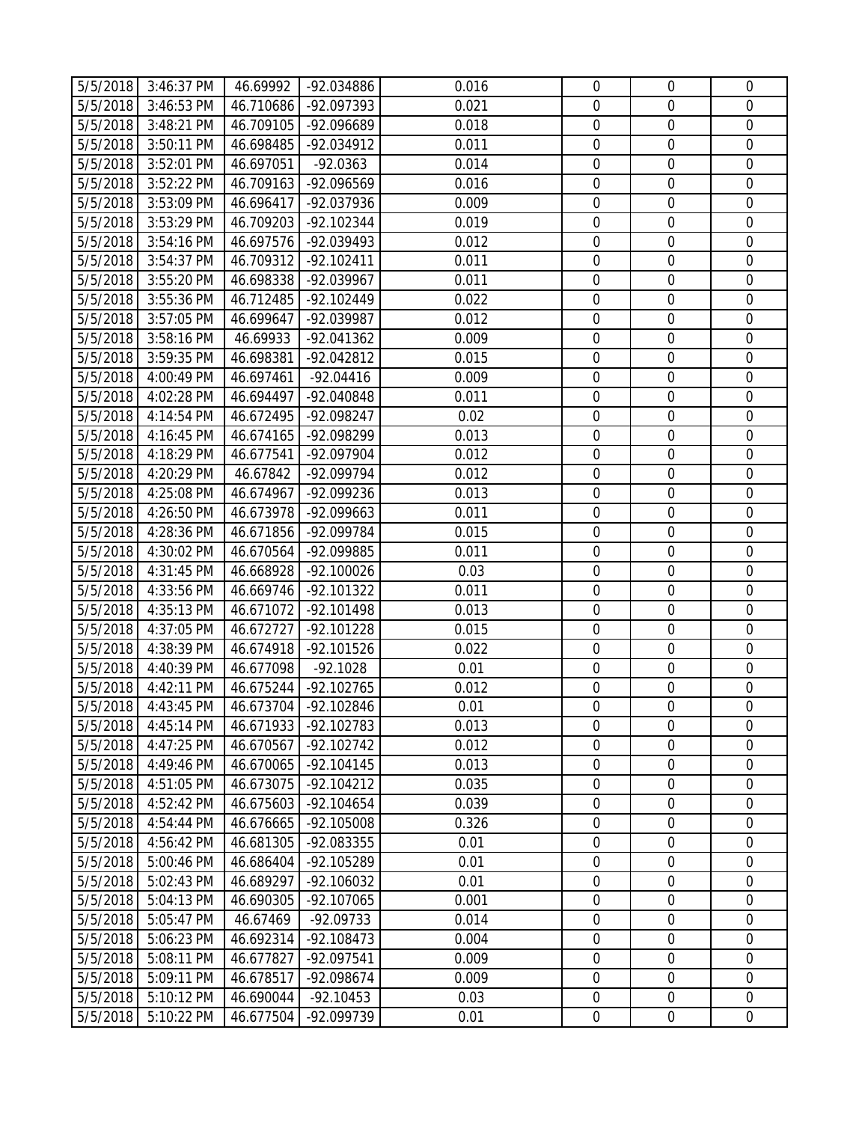|                      | 5/5/2018 3:46:37 PM      | 46.69992               | -92.034886                   | 0.016          | $\mathbf 0$                     | $\overline{0}$             | $\mathbf 0$                |
|----------------------|--------------------------|------------------------|------------------------------|----------------|---------------------------------|----------------------------|----------------------------|
| 5/5/2018             | 3:46:53 PM               | 46.710686              | -92.097393                   | 0.021          | $\overline{0}$                  | $\overline{0}$             | $\mathbf{0}$               |
| 5/5/2018             | 3:48:21 PM               | 46.709105              | -92.096689                   | 0.018          | $\overline{0}$                  | $\overline{0}$             | $\mathbf 0$                |
| 5/5/2018             | 3:50:11 PM               | 46.698485              | -92.034912                   | 0.011          | $\boldsymbol{0}$                | $\boldsymbol{0}$           | $\mathbf 0$                |
| 5/5/2018             | 3:52:01 PM               | 46.697051              | $-92.0363$                   | 0.014          | $\overline{0}$                  | $\mathbf 0$                | $\mathbf 0$                |
| 5/5/2018             | 3:52:22 PM               | 46.709163              | -92.096569                   | 0.016          | $\mathbf 0$                     | $\mathbf 0$                | $\mathbf 0$                |
| 5/5/2018             | 3:53:09 PM               | 46.696417              | -92.037936                   | 0.009          | $\mathbf 0$                     | $\boldsymbol{0}$           | $\mathbf 0$                |
| 5/5/2018             | 3:53:29 PM               | 46.709203              | -92.102344                   | 0.019          | $\mathbf 0$                     | $\mathbf 0$                | $\mathbf 0$                |
| 5/5/2018             | 3:54:16 PM               | 46.697576              | -92.039493                   | 0.012          | $\mathbf 0$                     | $\mathbf 0$                | $\mathbf 0$                |
| 5/5/2018             | 3:54:37 PM               | 46.709312              | $-92.102411$                 | 0.011          | $\overline{0}$                  | $\overline{0}$             | $\mathbf 0$                |
| 5/5/2018             | 3:55:20 PM               | 46.698338              | -92.039967                   | 0.011          | $\mathbf 0$                     | $\boldsymbol{0}$           | $\mathbf 0$                |
| 5/5/2018             | 3:55:36 PM               | 46.712485              | -92.102449                   | 0.022          | $\mathbf 0$                     | $\boldsymbol{0}$           | $\mathbf 0$                |
| 5/5/2018             | 3:57:05 PM               | 46.699647              | -92.039987                   | 0.012          | $\mathbf 0$                     | $\mathbf 0$                | $\mathbf 0$                |
| 5/5/2018             | 3:58:16 PM               | 46.69933               | -92.041362                   | 0.009          | $\mathbf 0$                     | $\boldsymbol{0}$           | $\mathbf 0$                |
| 5/5/2018             | 3:59:35 PM               | 46.698381              | -92.042812                   | 0.015          | $\mathbf 0$                     | $\mathbf 0$                | $\mathbf 0$                |
| 5/5/2018             | 4:00:49 PM               | 46.697461              | $-92.04416$                  | 0.009          | $\mathbf 0$                     | $\mathbf 0$                | $\mathbf 0$                |
| 5/5/2018             | 4:02:28 PM               | 46.694497              | -92.040848                   | 0.011          | $\mathbf 0$                     | $\boldsymbol{0}$           | $\mathbf 0$                |
| 5/5/2018             | 4:14:54 PM               | 46.672495              | -92.098247                   | 0.02           | $\mathbf 0$                     | $\mathbf 0$                | $\mathbf 0$                |
| 5/5/2018             | 4:16:45 PM               | 46.674165              | -92.098299                   | 0.013          | $\boldsymbol{0}$                | $\mathbf 0$                | $\mathbf 0$                |
| 5/5/2018             | 4:18:29 PM               | 46.677541              | -92.097904                   | 0.012          | $\mathbf 0$                     | $\mathbf 0$                | $\mathbf 0$                |
| 5/5/2018             | 4:20:29 PM               | 46.67842               | -92.099794                   | 0.012          | $\boldsymbol{0}$                | $\boldsymbol{0}$           | $\boldsymbol{0}$           |
| 5/5/2018             | 4:25:08 PM               | 46.674967              | -92.099236                   | 0.013          | $\mathbf 0$                     | $\mathbf 0$                | $\mathbf 0$                |
| 5/5/2018             | 4:26:50 PM               | 46.673978              | -92.099663                   | 0.011          | $\mathbf 0$                     | $\mathbf 0$                | $\mathbf 0$                |
| 5/5/2018             | 4:28:36 PM               | 46.671856              | -92.099784                   | 0.015          | $\mathbf 0$                     | $\overline{0}$             | $\mathbf 0$                |
| 5/5/2018             | 4:30:02 PM               | 46.670564              | -92.099885                   | 0.011          | $\mathbf 0$                     | $\boldsymbol{0}$           | $\mathbf 0$                |
| 5/5/2018             | 4:31:45 PM               | 46.668928              | $-92.100026$                 | 0.03           | $\mathbf 0$                     | $\boldsymbol{0}$           | $\mathbf 0$                |
| 5/5/2018             | 4:33:56 PM               | 46.669746              | -92.101322                   | 0.011          | $\mathbf 0$                     | $\mathbf 0$                | $\mathbf 0$                |
| 5/5/2018             | 4:35:13 PM               | 46.671072              | $-92.101498$                 | 0.013          | $\boldsymbol{0}$                | $\boldsymbol{0}$           | $\boldsymbol{0}$           |
| 5/5/2018             | 4:37:05 PM               | 46.672727              | $-92.101228$                 | 0.015          | $\mathbf 0$                     | $\mathbf 0$                | $\mathbf 0$                |
| 5/5/2018             | 4:38:39 PM               | 46.674918              | -92.101526                   | 0.022          | $\mathbf 0$                     | $\overline{0}$             | $\mathbf 0$                |
| 5/5/2018             | 4:40:39 PM               | 46.677098              | $-92.1028$                   | 0.01           | $\mathbf 0$                     | $\mathbf 0$                | $\mathbf 0$                |
| 5/5/2018             | 4:42:11 PM               | 46.675244              | $-92.102765$                 | 0.012          | $\mathbf 0$                     | $\mathbf 0$                | $\mathbf 0$                |
|                      | 5/5/2018 4:43:45 PM      |                        | 46.673704 -92.102846         | 0.01           | $\overline{0}$                  | $\overline{0}$             | $\overline{0}$             |
| 5/5/2018             | 4:45:14 PM               | 46.671933              | -92.102783                   | 0.013          | $\overline{0}$                  | $\overline{0}$             | $\overline{0}$             |
| 5/5/2018             | 4:47:25 PM               | 46.670567              | $-92.102742$                 | 0.012          | $\boldsymbol{0}$                | $\boldsymbol{0}$           | $\mathbf 0$                |
| 5/5/2018             | 4:49:46 PM<br>4:51:05 PM | 46.670065              | $-92.104145$                 | 0.013          | $\boldsymbol{0}$<br>$\mathbf 0$ | $\mathbf 0$<br>$\mathbf 0$ | $\mathbf 0$<br>$\mathbf 0$ |
| 5/5/2018<br>5/5/2018 | 4:52:42 PM               | 46.673075              | $-92.104212$<br>$-92.104654$ | 0.035<br>0.039 | $\mathbf 0$                     | $\mathbf 0$                | $\mathbf 0$                |
| 5/5/2018             | 4:54:44 PM               | 46.675603<br>46.676665 | $-92.105008$                 | 0.326          | $\mathbf 0$                     | $\mathbf 0$                | $\mathbf 0$                |
| 5/5/2018             | 4:56:42 PM               | 46.681305              | -92.083355                   | 0.01           | $\mathbf 0$                     | $\mathbf 0$                | $\mathbf 0$                |
| 5/5/2018             | 5:00:46 PM               | 46.686404              | -92.105289                   | 0.01           | $\mathbf 0$                     | $\mathbf 0$                | $\mathbf 0$                |
| 5/5/2018             | 5:02:43 PM               | 46.689297              | -92.106032                   | 0.01           | $\mathbf 0$                     | $\boldsymbol{0}$           | $\mathbf 0$                |
| 5/5/2018             | 5:04:13 PM               | 46.690305              | -92.107065                   | 0.001          | $\mathbf 0$                     | $\mathbf 0$                | $\mathbf 0$                |
| 5/5/2018             | 5:05:47 PM               | 46.67469               | $-92.09733$                  | 0.014          | $\mathbf 0$                     | $\boldsymbol{0}$           | $\mathbf 0$                |
| 5/5/2018             | 5:06:23 PM               | 46.692314              | $-92.108473$                 | 0.004          | $\mathbf 0$                     | $\mathbf 0$                | $\mathbf 0$                |
| 5/5/2018             | 5:08:11 PM               | 46.677827              | -92.097541                   | 0.009          | $\mathbf 0$                     | $\boldsymbol{0}$           | $\mathbf 0$                |
| 5/5/2018             | 5:09:11 PM               | 46.678517              | -92.098674                   | 0.009          | $\mathbf 0$                     | $\mathbf 0$                | $\mathbf 0$                |
| 5/5/2018             | 5:10:12 PM               | 46.690044              | $-92.10453$                  | 0.03           | $\mathbf 0$                     | $\boldsymbol{0}$           | $\mathbf 0$                |
| 5/5/2018             | 5:10:22 PM               | 46.677504              | -92.099739                   | 0.01           | $\mathbf 0$                     | $\boldsymbol{0}$           | $\mathbf 0$                |
|                      |                          |                        |                              |                |                                 |                            |                            |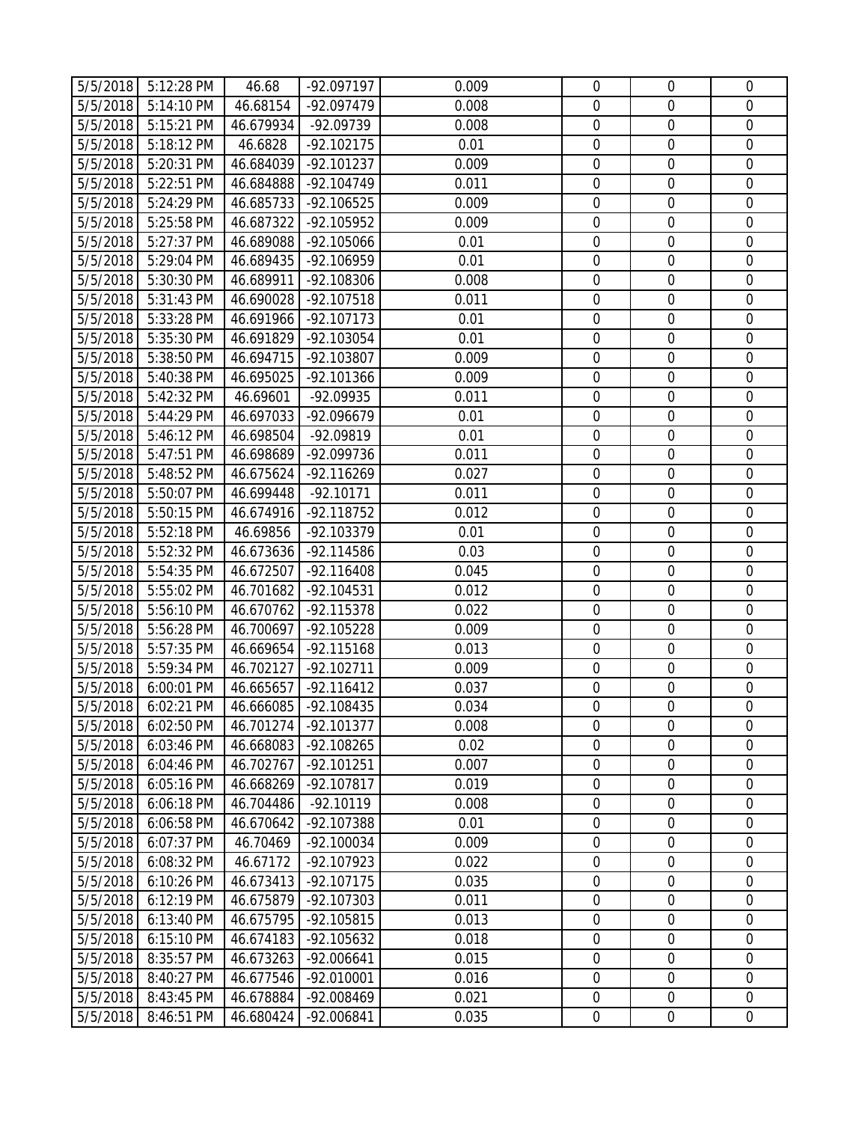|                      | 5/5/2018 5:12:28 PM      | 46.68                 | -92.097197               | 0.009         | $\overline{0}$             | $\boldsymbol{0}$           | $\mathbf 0$                |
|----------------------|--------------------------|-----------------------|--------------------------|---------------|----------------------------|----------------------------|----------------------------|
| 5/5/2018             | 5:14:10 PM               | 46.68154              | -92.097479               | 0.008         | $\overline{0}$             | $\overline{0}$             | $\mathbf 0$                |
| 5/5/2018             | 5:15:21 PM               | 46.679934             | -92.09739                | 0.008         | $\overline{0}$             | $\overline{0}$             | $\mathbf 0$                |
| 5/5/2018             | 5:18:12 PM               | 46.6828               | $-92.102175$             | 0.01          | $\boldsymbol{0}$           | $\boldsymbol{0}$           | $\mathbf 0$                |
| 5/5/2018             | 5:20:31 PM               | 46.684039             | $-92.101237$             | 0.009         | $\mathbf 0$                | $\mathbf 0$                | $\mathbf 0$                |
| 5/5/2018             | 5:22:51 PM               | 46.684888             | -92.104749               | 0.011         | $\mathbf 0$                | $\mathbf 0$                | $\mathbf 0$                |
| 5/5/2018             | 5:24:29 PM               | 46.685733             | $-92.106525$             | 0.009         | $\mathbf 0$                | $\boldsymbol{0}$           | $\mathbf 0$                |
| 5/5/2018             | 5:25:58 PM               | 46.687322             | $-92.105952$             | 0.009         | $\mathbf 0$                | $\mathbf 0$                | $\mathbf 0$                |
| 5/5/2018             | 5:27:37 PM               | 46.689088             | -92.105066               | 0.01          | $\mathbf 0$                | $\mathbf 0$                | $\mathbf 0$                |
| 5/5/2018             | 5:29:04 PM               | 46.689435             | -92.106959               | 0.01          | $\overline{0}$             | $\mathbf 0$                | $\mathbf 0$                |
| 5/5/2018             | 5:30:30 PM               | 46.689911             | -92.108306               | 0.008         | $\mathbf 0$                | $\boldsymbol{0}$           | $\mathbf 0$                |
| 5/5/2018             | 5:31:43 PM               | 46.690028             | -92.107518               | 0.011         | $\mathbf 0$                | $\boldsymbol{0}$           | $\mathbf 0$                |
| 5/5/2018             | 5:33:28 PM               | 46.691966             | $-92.107173$             | 0.01          | $\mathbf 0$                | $\boldsymbol{0}$           | $\mathbf 0$                |
| 5/5/2018             | 5:35:30 PM               | 46.691829             | -92.103054               | 0.01          | $\mathbf 0$                | $\mathbf 0$                | $\mathbf 0$                |
| 5/5/2018             | 5:38:50 PM               | 46.694715             | -92.103807               | 0.009         | $\mathbf 0$                | $\mathbf 0$                | $\mathbf 0$                |
| 5/5/2018             | 5:40:38 PM               | 46.695025             | -92.101366               | 0.009         | $\mathbf 0$                | $\mathbf 0$                | $\mathbf 0$                |
| 5/5/2018             | 5:42:32 PM               | 46.69601              | $-92.09935$              | 0.011         | $\mathbf 0$                | $\boldsymbol{0}$           | $\mathbf 0$                |
| 5/5/2018             | 5:44:29 PM               | 46.697033             | -92.096679               | 0.01          | $\mathbf 0$                | $\mathbf 0$                | $\mathbf 0$                |
| 5/5/2018             | 5:46:12 PM               | 46.698504             | -92.09819                | 0.01          | $\mathbf 0$                | $\mathbf 0$                | $\mathbf 0$                |
| 5/5/2018             | 5:47:51 PM               | 46.698689             | -92.099736               | 0.011         | $\mathbf 0$                | $\mathbf 0$                | $\mathbf 0$                |
| 5/5/2018             | 5:48:52 PM               | 46.675624             | -92.116269               | 0.027         | $\boldsymbol{0}$           | $\boldsymbol{0}$           | $\boldsymbol{0}$           |
| 5/5/2018             | 5:50:07 PM               | 46.699448             | $-92.10171$              | 0.011         | $\mathbf 0$                | $\mathbf 0$                | $\mathbf 0$                |
| 5/5/2018             | 5:50:15 PM               | 46.674916             | -92.118752               | 0.012         | $\mathbf 0$                | $\mathbf 0$                | $\mathbf 0$                |
| 5/5/2018             | 5:52:18 PM               | 46.69856              | -92.103379               | 0.01          | $\mathbf 0$                | $\overline{0}$             | $\mathbf 0$                |
| 5/5/2018             | 5:52:32 PM               | 46.673636             | -92.114586               | 0.03          | $\mathbf 0$                | $\boldsymbol{0}$           | $\mathbf 0$                |
| 5/5/2018             | 5:54:35 PM               | 46.672507             | $-92.116408$             | 0.045         | $\mathbf 0$                | $\boldsymbol{0}$           | $\mathbf 0$                |
| 5/5/2018             | 5:55:02 PM               | 46.701682             | -92.104531               | 0.012         | $\mathbf 0$                | $\mathbf 0$                | $\mathbf 0$                |
| 5/5/2018             | 5:56:10 PM               | 46.670762             | -92.115378               | 0.022         | $\boldsymbol{0}$           | $\boldsymbol{0}$           | $\boldsymbol{0}$           |
| 5/5/2018             | 5:56:28 PM               | 46.700697             | -92.105228               | 0.009         | $\mathbf 0$                | $\mathbf 0$                | $\mathbf 0$                |
| 5/5/2018             | 5:57:35 PM               | 46.669654             | $-92.115168$             | 0.013         | $\mathbf 0$                | $\overline{0}$             | $\mathbf 0$                |
| 5/5/2018             | 5:59:34 PM               | 46.702127             | $-92.102711$             | 0.009         | $\mathbf 0$                | $\mathbf 0$                | $\mathbf 0$                |
| 5/5/2018             | 6:00:01 PM               | 46.665657             | $-92.116412$             | 0.037         | $\mathbf 0$                | $\mathbf 0$                | $\mathbf 0$                |
|                      | 5/5/2018 6:02:21 PM      |                       | 46.666085 -92.108435     | 0.034         | $\overline{0}$             | $\overline{0}$             | $\overline{0}$             |
| 5/5/2018             | 6:02:50 PM               | 46.701274             | $-92.101377$             | 0.008         | $\overline{0}$             | $\overline{0}$             | $\overline{0}$             |
| 5/5/2018             | 6:03:46 PM               | 46.668083             | -92.108265               | 0.02          | $\boldsymbol{0}$           | $\boldsymbol{0}$           | $\mathbf 0$                |
| 5/5/2018             | 6:04:46 PM               | 46.702767             | $-92.101251$             | 0.007         | $\boldsymbol{0}$           | $\boldsymbol{0}$           | $\mathbf 0$                |
| 5/5/2018             | 6:05:16 PM               | 46.668269             | -92.107817               | 0.019         | $\mathbf 0$                | $\mathbf 0$                | $\mathbf 0$                |
| 5/5/2018             | 6:06:18 PM               | 46.704486             | $-92.10119$              | 0.008         | $\mathbf 0$                | $\mathbf 0$                | $\mathbf 0$                |
| 5/5/2018             | 6:06:58 PM<br>6:07:37 PM | 46.670642<br>46.70469 | -92.107388<br>-92.100034 | 0.01<br>0.009 | $\mathbf 0$<br>$\mathbf 0$ | $\mathbf 0$<br>$\mathbf 0$ | $\mathbf 0$<br>$\mathbf 0$ |
| 5/5/2018<br>5/5/2018 | 6:08:32 PM               | 46.67172              | -92.107923               | 0.022         | $\mathbf 0$                | $\mathbf 0$                | $\mathbf 0$                |
| 5/5/2018             | 6:10:26 PM               | 46.673413             | $-92.107175$             | 0.035         | $\mathbf 0$                | $\boldsymbol{0}$           | $\mathbf 0$                |
| 5/5/2018             | 6:12:19 PM               | 46.675879             | -92.107303               | 0.011         | $\mathbf 0$                | $\mathbf 0$                | $\mathbf 0$                |
| 5/5/2018             | 6:13:40 PM               | 46.675795             | $-92.105815$             | 0.013         | $\mathbf 0$                | $\boldsymbol{0}$           | $\mathbf 0$                |
| 5/5/2018             | 6:15:10 PM               | 46.674183             | -92.105632               | 0.018         | $\mathbf 0$                | $\mathbf 0$                | $\mathbf 0$                |
| 5/5/2018             | 8:35:57 PM               | 46.673263             | $-92.006641$             | 0.015         | $\mathbf 0$                | $\boldsymbol{0}$           | $\mathbf 0$                |
| 5/5/2018             | 8:40:27 PM               | 46.677546             | $-92.010001$             | 0.016         | $\mathbf 0$                | $\mathbf 0$                | $\mathbf 0$                |
| 5/5/2018             | 8:43:45 PM               | 46.678884             | -92.008469               | 0.021         | $\mathbf 0$                | $\boldsymbol{0}$           | $\mathbf 0$                |
| 5/5/2018             | 8:46:51 PM               | 46.680424             | -92.006841               | 0.035         | $\mathbf 0$                | $\boldsymbol{0}$           | $\overline{0}$             |
|                      |                          |                       |                          |               |                            |                            |                            |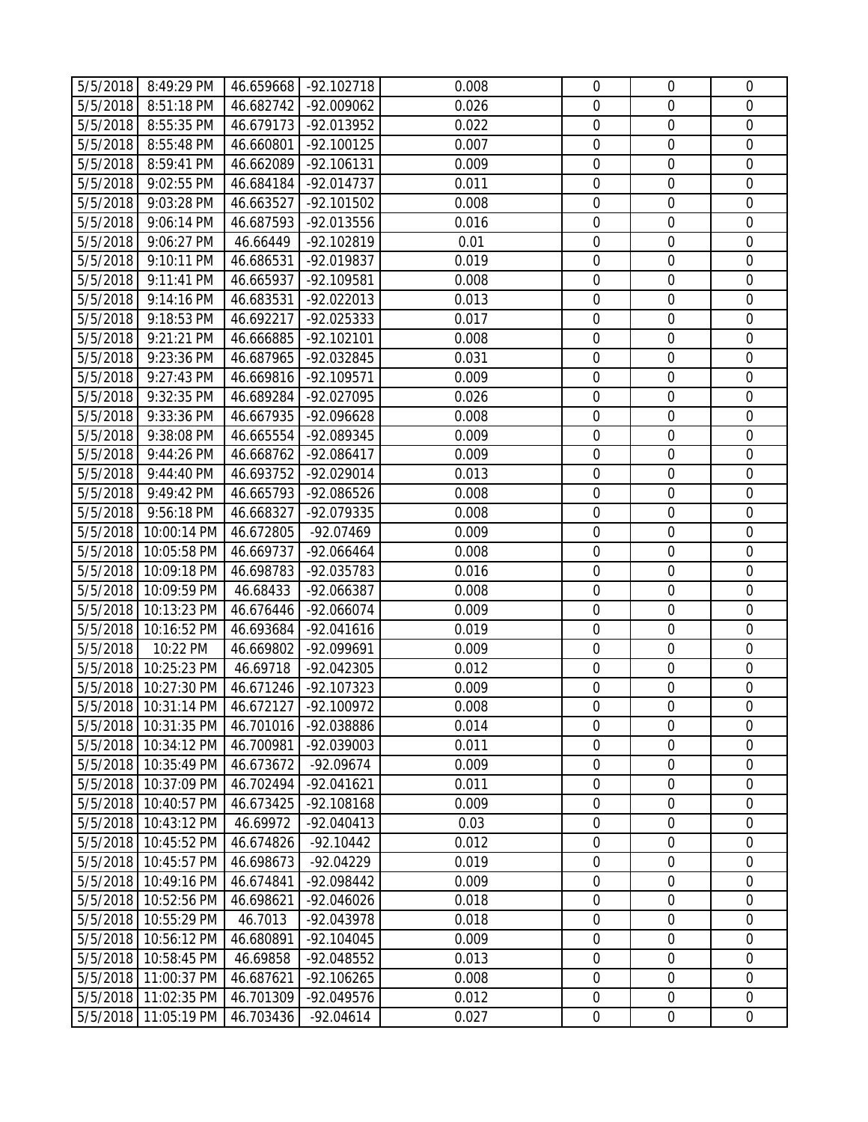|          | 5/5/2018 8:49:29 PM                           |           | 46.659668 -92.102718 | 0.008 | $\mathbf 0$      | $\overline{0}$   | $\overline{0}$   |
|----------|-----------------------------------------------|-----------|----------------------|-------|------------------|------------------|------------------|
| 5/5/2018 | 8:51:18 PM                                    | 46.682742 | -92.009062           | 0.026 | $\overline{0}$   | $\overline{0}$   | $\overline{0}$   |
| 5/5/2018 | 8:55:35 PM                                    | 46.679173 | -92.013952           | 0.022 | $\mathbf 0$      | $\boldsymbol{0}$ | $\mathbf 0$      |
| 5/5/2018 | 8:55:48 PM                                    | 46.660801 | $-92.100125$         | 0.007 | $\overline{0}$   | $\boldsymbol{0}$ | $\mathbf 0$      |
| 5/5/2018 | 8:59:41 PM                                    | 46.662089 | $-92.106131$         | 0.009 | $\mathbf 0$      | $\mathbf 0$      | $\mathbf 0$      |
| 5/5/2018 | 9:02:55 PM                                    | 46.684184 | -92.014737           | 0.011 | $\mathbf 0$      | $\mathbf 0$      | $\mathbf 0$      |
| 5/5/2018 | 9:03:28 PM                                    | 46.663527 | $-92.101502$         | 0.008 | $\mathbf 0$      | $\boldsymbol{0}$ | $\mathbf 0$      |
| 5/5/2018 | 9:06:14 PM                                    | 46.687593 | -92.013556           | 0.016 | $\mathbf 0$      | $\mathbf 0$      | $\mathbf 0$      |
| 5/5/2018 | 9:06:27 PM                                    | 46.66449  | -92.102819           | 0.01  | $\mathbf 0$      | $\mathbf 0$      | $\overline{0}$   |
| 5/5/2018 | 9:10:11 PM                                    | 46.686531 | -92.019837           | 0.019 | $\mathbf 0$      | $\boldsymbol{0}$ | $\mathbf 0$      |
| 5/5/2018 | 9:11:41 PM                                    | 46.665937 | -92.109581           | 0.008 | $\mathbf 0$      | $\boldsymbol{0}$ | $\mathbf 0$      |
| 5/5/2018 | 9:14:16 PM                                    | 46.683531 | -92.022013           | 0.013 | $\overline{0}$   | $\mathbf 0$      | $\mathbf 0$      |
| 5/5/2018 | 9:18:53 PM                                    | 46.692217 | -92.025333           | 0.017 | $\mathbf 0$      | $\mathbf 0$      | $\mathbf 0$      |
| 5/5/2018 | 9:21:21 PM                                    | 46.666885 | $-92.102101$         | 0.008 | $\mathbf 0$      | $\mathbf 0$      | $\mathbf 0$      |
| 5/5/2018 | 9:23:36 PM                                    | 46.687965 | -92.032845           | 0.031 | $\mathbf 0$      | $\mathbf 0$      | $\mathbf 0$      |
| 5/5/2018 | 9:27:43 PM                                    | 46.669816 | -92.109571           | 0.009 | $\overline{0}$   | $\overline{0}$   | $\overline{0}$   |
| 5/5/2018 | 9:32:35 PM                                    | 46.689284 | -92.027095           | 0.026 | $\overline{0}$   | $\boldsymbol{0}$ | $\mathbf 0$      |
| 5/5/2018 | 9:33:36 PM                                    | 46.667935 | -92.096628           | 0.008 | $\mathbf 0$      | $\boldsymbol{0}$ | $\mathbf 0$      |
| 5/5/2018 | 9:38:08 PM                                    | 46.665554 | -92.089345           | 0.009 | $\mathbf 0$      | $\mathbf 0$      | $\mathbf 0$      |
| 5/5/2018 | 9:44:26 PM                                    | 46.668762 | -92.086417           | 0.009 | $\mathbf 0$      | $\overline{0}$   | $\mathbf 0$      |
| 5/5/2018 | 9:44:40 PM                                    | 46.693752 | -92.029014           | 0.013 | $\mathbf 0$      | $\mathbf 0$      | $\mathbf 0$      |
| 5/5/2018 | 9:49:42 PM                                    | 46.665793 | -92.086526           | 0.008 | $\mathbf 0$      | $\mathbf 0$      | $\mathbf 0$      |
| 5/5/2018 | 9:56:18 PM                                    | 46.668327 | -92.079335           | 0.008 | $\mathbf 0$      | $\mathbf 0$      | $\mathbf 0$      |
| 5/5/2018 | 10:00:14 PM                                   | 46.672805 | $-92.07469$          | 0.009 | $\mathbf 0$      | $\overline{0}$   | $\mathbf 0$      |
| 5/5/2018 | 10:05:58 PM                                   | 46.669737 | -92.066464           | 0.008 | $\mathbf 0$      | $\boldsymbol{0}$ | $\mathbf 0$      |
|          | 5/5/2018 10:09:18 PM                          | 46.698783 | -92.035783           | 0.016 | $\mathbf 0$      | $\boldsymbol{0}$ | $\mathbf 0$      |
| 5/5/2018 | 10:09:59 PM                                   | 46.68433  | -92.066387           | 0.008 | $\mathbf 0$      | $\mathbf 0$      | $\mathbf 0$      |
| 5/5/2018 | 10:13:23 PM                                   | 46.676446 | -92.066074           | 0.009 | $\mathbf 0$      | $\mathbf 0$      | $\mathbf 0$      |
|          | 5/5/2018 10:16:52 PM                          | 46.693684 | $-92.041616$         | 0.019 | $\mathbf 0$      | $\mathbf 0$      | $\mathbf 0$      |
| 5/5/2018 | 10:22 PM                                      | 46.669802 | -92.099691           | 0.009 | $\mathbf 0$      | $\mathbf 0$      | $\mathbf 0$      |
| 5/5/2018 | 10:25:23 PM                                   | 46.69718  | -92.042305           | 0.012 | $\overline{0}$   | $\mathbf 0$      | $\mathbf 0$      |
| 5/5/2018 | 10:27:30 PM                                   | 46.671246 | -92.107323           | 0.009 | $\mathbf 0$      | $\mathbf 0$      | $\mathbf 0$      |
|          | 5/5/2018 10:31:14 PM   46.672127   -92.100972 |           |                      | 0.008 | $\overline{0}$   | $\boldsymbol{0}$ | $\overline{0}$   |
| 5/5/2018 | 10:31:35 PM                                   | 46.701016 | -92.038886           | 0.014 | $\overline{0}$   | $\overline{0}$   | $\overline{0}$   |
| 5/5/2018 | 10:34:12 PM                                   | 46.700981 | -92.039003           | 0.011 | $\mathbf 0$      | $\boldsymbol{0}$ | $\boldsymbol{0}$ |
| 5/5/2018 | 10:35:49 PM                                   | 46.673672 | $-92.09674$          | 0.009 | $\mathbf 0$      | $\mathbf 0$      | $\mathbf 0$      |
| 5/5/2018 | 10:37:09 PM                                   | 46.702494 | $-92.041621$         | 0.011 | $\mathbf 0$      | $\mathbf 0$      | $\overline{0}$   |
| 5/5/2018 | 10:40:57 PM                                   | 46.673425 | -92.108168           | 0.009 | $\mathbf 0$      | $\mathbf 0$      | $\mathbf 0$      |
| 5/5/2018 | 10:43:12 PM                                   | 46.69972  | $-92.040413$         | 0.03  | $\boldsymbol{0}$ | $\boldsymbol{0}$ | $\mathbf 0$      |
| 5/5/2018 | 10:45:52 PM                                   | 46.674826 | $-92.10442$          | 0.012 | $\mathbf 0$      | $\boldsymbol{0}$ | $\mathbf 0$      |
| 5/5/2018 | 10:45:57 PM                                   | 46.698673 | $-92.04229$          | 0.019 | $\mathbf 0$      | $\mathbf 0$      | $\mathbf 0$      |
| 5/5/2018 | 10:49:16 PM                                   | 46.674841 | -92.098442           | 0.009 | $\mathbf 0$      | $\boldsymbol{0}$ | $\boldsymbol{0}$ |
| 5/5/2018 | 10:52:56 PM                                   | 46.698621 | $-92.046026$         | 0.018 | $\mathbf 0$      | $\mathbf 0$      | $\mathbf 0$      |
| 5/5/2018 | 10:55:29 PM                                   | 46.7013   | -92.043978           | 0.018 | $\overline{0}$   | $\mathbf 0$      | $\overline{0}$   |
| 5/5/2018 | 10:56:12 PM                                   | 46.680891 | $-92.104045$         | 0.009 | $\mathbf 0$      | $\mathbf 0$      | $\mathbf 0$      |
| 5/5/2018 | 10:58:45 PM                                   | 46.69858  | -92.048552           | 0.013 | $\mathbf 0$      | $\boldsymbol{0}$ | $\mathbf 0$      |
| 5/5/2018 | 11:00:37 PM                                   | 46.687621 | $-92.106265$         | 0.008 | $\mathbf 0$      | $\boldsymbol{0}$ | $\mathbf 0$      |
| 5/5/2018 | 11:02:35 PM                                   | 46.701309 | -92.049576           | 0.012 | $\mathbf 0$      | $\mathbf 0$      | $\mathbf 0$      |
| 5/5/2018 | 11:05:19 PM                                   | 46.703436 | $-92.04614$          | 0.027 | $\boldsymbol{0}$ | $\overline{0}$   | $\boldsymbol{0}$ |